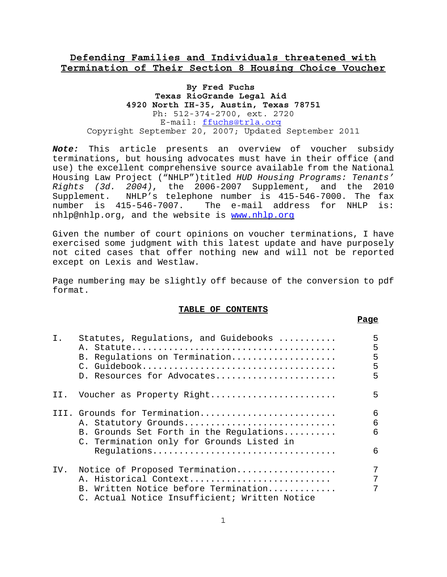# **Defending Families and Individuals threatened with Termination of Their Section 8 Housing Choice Voucher**

### **By Fred Fuchs Texas RioGrande Legal Aid 4920 North IH-35, Austin, Texas 78751** Ph: 512-374-2700, ext. 2720 E-mail: ffuchs@trla.org Copyright September 20, 2007; Updated September 2011

*Note:* This article presents an overview of voucher subsidy terminations, but housing advocates must have in their office (and use) the excellent comprehensive source available from the National Housing Law Project ("NHLP")titled *HUD Housing Programs: Tenants' Rights (3d. 2004)*, the 2006-2007 Supplement, and the 2010 Supplement. NHLP's telephone number is 415-546-7000. The fax number is 415-546-7007. The e-mail address for NHLP is: nhlp@nhlp.org, and the website is www.nhlp.org

Given the number of court opinions on voucher terminations, I have exercised some judgment with this latest update and have purposely not cited cases that offer nothing new and will not be reported except on Lexis and Westlaw.

Page numbering may be slightly off because of the conversion to pdf format.

#### **TABLE OF CONTENTS**

**Page**

| Ι.  | Statutes, Regulations, and Guidebooks<br>B. Regulations on Termination<br>D. Resources for Advocates                                                        | 5<br>5<br>5<br>5<br>5 |
|-----|-------------------------------------------------------------------------------------------------------------------------------------------------------------|-----------------------|
|     | II. Voucher as Property Right                                                                                                                               | 5                     |
|     | III. Grounds for Termination<br>A. Statutory Grounds<br>B. Grounds Set Forth in the Regulations<br>C. Termination only for Grounds Listed in<br>Regulations | 6<br>6<br>6<br>6      |
| IV. | Notice of Proposed Termination<br>A. Historical Context<br>B. Written Notice before Termination<br>C. Actual Notice Insufficient; Written Notice            |                       |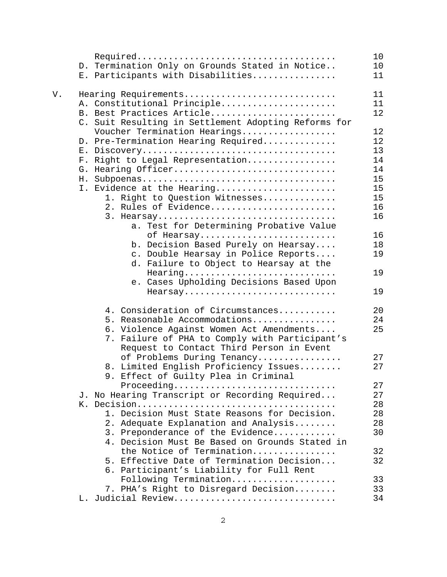|    |                                                      | 10 |
|----|------------------------------------------------------|----|
|    | D. Termination Only on Grounds Stated in Notice      | 10 |
|    | E. Participants with Disabilities                    | 11 |
|    |                                                      |    |
| V. | Hearing Requirements                                 | 11 |
|    | A. Constitutional Principle                          | 11 |
|    | B. Best Practices Article                            | 12 |
|    | C. Suit Resulting in Settlement Adopting Reforms for |    |
|    | Voucher Termination Hearings                         | 12 |
|    | D. Pre-Termination Hearing Required                  | 12 |
|    | $E_{\perp}$                                          | 13 |
|    | Right to Legal Representation<br>$F$ .               | 14 |
|    | G. Hearing Officer                                   | 14 |
|    |                                                      | 15 |
|    | I. Evidence at the Hearing                           | 15 |
|    | 1. Right to Question Witnesses                       | 15 |
|    | 2. Rules of Evidence                                 | 16 |
|    | 3. Hearsay                                           | 16 |
|    | Test for Determining Probative Value<br>а.           |    |
|    | of Hearsay                                           | 16 |
|    | b. Decision Based Purely on Hearsay                  | 18 |
|    | c. Double Hearsay in Police Reports                  | 19 |
|    | d. Failure to Object to Hearsay at the               |    |
|    | Hearing                                              | 19 |
|    | e. Cases Upholding Decisions Based Upon              |    |
|    | Hearsay                                              | 19 |
|    |                                                      |    |
|    | 4. Consideration of Circumstances                    | 20 |
|    | 5. Reasonable Accommodations                         | 24 |
|    | 6. Violence Against Women Act Amendments             | 25 |
|    | Failure of PHA to Comply with Participant's<br>7.    |    |
|    | Request to Contact Third Person in Event             |    |
|    | of Problems During Tenancy                           | 27 |
|    | 8. Limited English Proficiency Issues                | 27 |
|    | 9. Effect of Guilty Plea in Criminal                 |    |
|    | Proceeding                                           | 27 |
|    | J. No Hearing Transcript or Recording Required       | 27 |
|    |                                                      | 28 |
|    | 1. Decision Must State Reasons for Decision.         | 28 |
|    | 2. Adequate Explanation and Analysis                 | 28 |
|    | 3. Preponderance of the Evidence                     | 30 |
|    | 4. Decision Must Be Based on Grounds Stated in       |    |
|    | the Notice of Termination                            | 32 |
|    | 5. Effective Date of Termination Decision            | 32 |
|    | 6. Participant's Liability for Full Rent             |    |
|    | Following Termination                                | 33 |
|    | 7. PHA's Right to Disregard Decision                 | 33 |
|    | L. Judicial Review                                   | 34 |
|    |                                                      |    |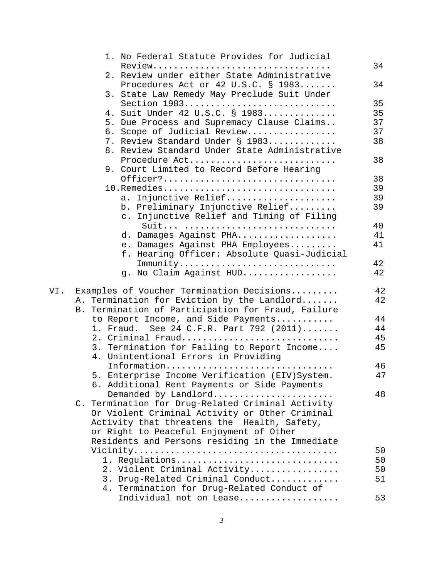|     | 1. No Federal Statute Provides for Judicial                               |    |
|-----|---------------------------------------------------------------------------|----|
|     |                                                                           | 34 |
|     | 2. Review under either State Administrative                               |    |
|     | Procedures Act or 42 U.S.C. § 1983                                        | 34 |
|     | 3. State Law Remedy May Preclude Suit Under                               |    |
|     | Section 1983                                                              | 35 |
|     | 4. Suit Under 42 U.S.C. § 1983                                            | 35 |
|     | 5. Due Process and Supremacy Clause Claims                                | 37 |
|     | 6. Scope of Judicial Review                                               | 37 |
|     | 7. Review Standard Under § 1983                                           | 38 |
|     | 8. Review Standard Under State Administrative                             |    |
|     | Procedure Act                                                             | 38 |
|     | 9. Court Limited to Record Before Hearing                                 |    |
|     |                                                                           |    |
|     | Officer?                                                                  | 38 |
|     | 10. Remedies                                                              | 39 |
|     | a. Injunctive Relief                                                      | 39 |
|     | b. Preliminary Injunctive Relief                                          | 39 |
|     | c. Injunctive Relief and Timing of Filing                                 |    |
|     | Suit                                                                      | 40 |
|     | d. Damages Against PHA                                                    | 41 |
|     | e. Damages Against PHA Employees                                          | 41 |
|     | f. Hearing Officer: Absolute Quasi-Judicial                               |    |
|     | $Immunity \ldots \ldots \ldots \ldots \ldots \ldots \ldots \ldots \ldots$ | 42 |
|     | g. No Claim Against HUD                                                   | 42 |
|     |                                                                           |    |
| VI. | Examples of Voucher Termination Decisions                                 | 42 |
|     | A. Termination for Eviction by the Landlord                               | 42 |
|     | B. Termination of Participation for Fraud, Failure                        |    |
|     | to Report Income, and Side Payments                                       | 44 |
|     | 1. Fraud. See 24 C.F.R. Part 792 (2011)                                   | 44 |
|     | 2. Criminal Fraud                                                         | 45 |
|     | 3. Termination for Failing to Report Income                               | 45 |
|     | 4. Unintentional Errors in Providing                                      |    |
|     | Information                                                               | 46 |
|     | 5. Enterprise Income Verification (EIV) System.                           | 47 |
|     | 6. Additional Rent Payments or Side Payments                              |    |
|     | Demanded by Landlord                                                      | 48 |
|     | C. Termination for Drug-Related Criminal Activity                         |    |
|     | Or Violent Criminal Activity or Other Criminal                            |    |
|     | Activity that threatens the Health, Safety,                               |    |
|     | or Right to Peaceful Enjoyment of Other                                   |    |
|     | Residents and Persons residing in the Immediate                           |    |
|     |                                                                           | 50 |
|     | 1. Regulations                                                            | 50 |
|     | 2. Violent Criminal Activity                                              | 50 |
|     | 3. Drug-Related Criminal Conduct                                          | 51 |
|     | 4. Termination for Drug-Related Conduct of                                |    |
|     | Individual not on Lease                                                   | 53 |
|     |                                                                           |    |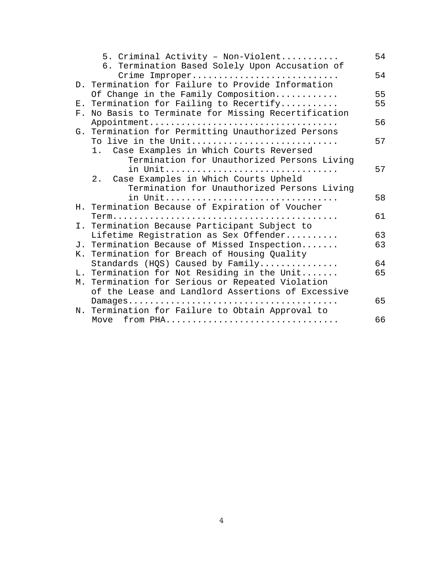|  | 5. Criminal Activity - Non-Violent                                                                    | 54 |
|--|-------------------------------------------------------------------------------------------------------|----|
|  | 6. Termination Based Solely Upon Accusation of<br>Crime Improper                                      | 54 |
|  | D. Termination for Failure to Provide Information                                                     |    |
|  | Of Change in the Family Composition                                                                   | 55 |
|  | E. Termination for Failing to Recertify                                                               | 55 |
|  | F. No Basis to Terminate for Missing Recertification                                                  |    |
|  |                                                                                                       | 56 |
|  | G. Termination for Permitting Unauthorized Persons                                                    |    |
|  | To live in the Unit                                                                                   | 57 |
|  | 1. Case Examples in Which Courts Reversed                                                             |    |
|  | Termination for Unauthorized Persons Living                                                           | 57 |
|  | in Unit<br>Case Examples in Which Courts Upheld<br>2.                                                 |    |
|  | Termination for Unauthorized Persons Living                                                           |    |
|  | in Unit                                                                                               | 58 |
|  | H. Termination Because of Expiration of Voucher                                                       |    |
|  |                                                                                                       | 61 |
|  | I. Termination Because Participant Subject to                                                         |    |
|  | Lifetime Registration as Sex Offender                                                                 | 63 |
|  | J. Termination Because of Missed Inspection                                                           | 63 |
|  | K. Termination for Breach of Housing Quality                                                          |    |
|  | Standards (HQS) Caused by Family                                                                      | 64 |
|  | L. Termination for Not Residing in the Unit                                                           | 65 |
|  | M. Termination for Serious or Repeated Violation<br>of the Lease and Landlord Assertions of Excessive |    |
|  |                                                                                                       | 65 |
|  | N. Termination for Failure to Obtain Approval to                                                      |    |
|  | Move from PHA                                                                                         | 66 |
|  |                                                                                                       |    |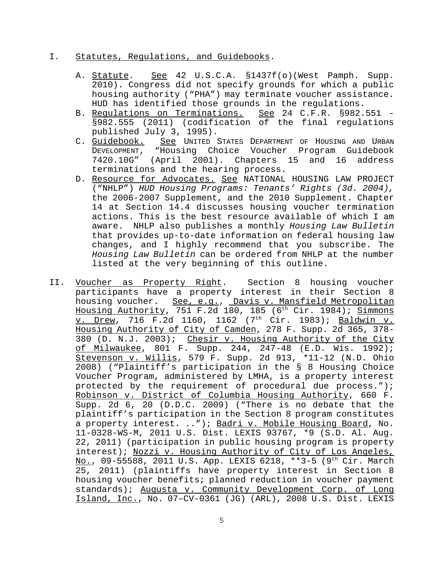### I. Statutes, Regulations, and Guidebooks.

- A. Statute. See 42 U.S.C.A. §1437f(o)(West Pamph. Supp. 2010). Congress did not specify grounds for which a public housing authority ("PHA") may terminate voucher assistance. HUD has identified those grounds in the regulations.
- B. Regulations on Terminations. See 24 C.F.R. §982.551 -§982.555 (2011) (codification of the final regulations published July 3, 1995).
- C. Guidebook. See UNITED STATES DEPARTMENT OF HOUSING AND URBAN DEVELOPMENT, "Housing Choice Voucher Program Guidebook 7420.10G" (April 2001). Chapters 15 and 16 address terminations and the hearing process.
- D. Resource for Advocates. See NATIONAL HOUSING LAW PROJECT ("NHLP") *HUD Housing Programs: Tenants' Rights (3d. 2004),* the 2006-2007 Supplement, and the 2010 Supplement. Chapter 14 at Section 14.4 discusses housing voucher termination actions. This is the best resource available of which I am aware. NHLP also publishes a monthly *Housing Law Bulletin* that provides up-to-date information on federal housing law changes, and I highly recommend that you subscribe. The *Housing Law Bulletin* can be ordered from NHLP at the number listed at the very beginning of this outline.
- II. Voucher as Property Right. Section 8 housing voucher participants have a property interest in their Section 8 housing voucher. See, e.g., Davis v. Mansfield Metropolitan Housing Authority, 751 F.2d 180, 185 (6<sup>th</sup> Cir. 1984); Simmons v. Drew, 716 F.2d 1160, 1162 (7<sup>th</sup> Cir. 1983); Baldwin v. Housing Authority of City of Camden, 278 F. Supp. 2d 365, 378- 380 (D. N.J. 2003); Chesir v. Housing Authority of the City of Milwaukee, 801 F. Supp. 244, 247-48 (E.D. Wis. 1992); Stevenson v. Willis, 579 F. Supp. 2d 913, \*11-12 (N.D. Ohio 2008) ("Plaintiff's participation in the § 8 Housing Choice Voucher Program, administered by LMHA, is a property interest protected by the requirement of procedural due process."); Robinson v. District of Columbia Housing Authority, 660 F. Supp. 2d 6, 20 (D.D.C. 2009) ("There is no debate that the plaintiff's participation in the Section 8 program constitutes a property interest. .."); Badri v. Mobile Housing Board, No. 11-0328-WS-M, 2011 U.S. Dist. LEXIS 93767, \*9 (S.D. Al. Aug. 22, 2011) (participation in public housing program is property interest); Nozzi v. Housing Authority of City of Los Angeles, No., 09-55588, 2011 U.S. App. LEXIS 6218, \*\*3-5 (9<sup>th</sup> Cir. March 25, 2011) (plaintiffs have property interest in Section 8 housing voucher benefits; planned reduction in voucher payment standards); Augusta v. Community Development Corp. of Long Island, Inc., No. 07–CV-0361 (JG) (ARL), 2008 U.S. Dist. LEXIS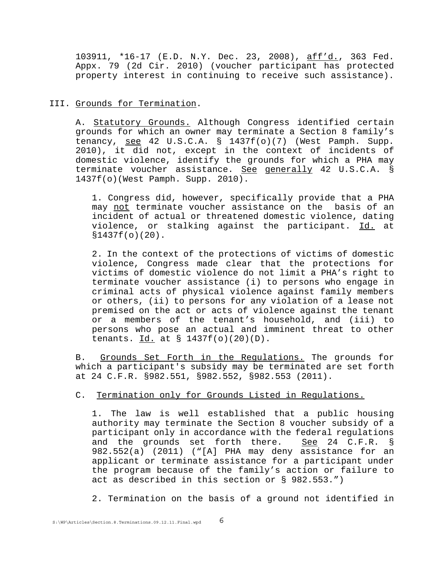103911, \*16-17 (E.D. N.Y. Dec. 23, 2008), aff'd., 363 Fed. Appx. 79 (2d Cir. 2010) (voucher participant has protected property interest in continuing to receive such assistance).

### III. Grounds for Termination.

A. Statutory Grounds. Although Congress identified certain grounds for which an owner may terminate a Section 8 family's tenancy, see 42 U.S.C.A. § 1437f(o)(7) (West Pamph. Supp. 2010), it did not, except in the context of incidents of domestic violence, identify the grounds for which a PHA may terminate voucher assistance. See generally 42 U.S.C.A. § 1437f(o)(West Pamph. Supp. 2010).

1. Congress did, however, specifically provide that a PHA may not terminate voucher assistance on the basis of an incident of actual or threatened domestic violence, dating violence, or stalking against the participant. Id. at §1437f(o)(20).

2. In the context of the protections of victims of domestic violence, Congress made clear that the protections for victims of domestic violence do not limit a PHA's right to terminate voucher assistance (i) to persons who engage in criminal acts of physical violence against family members or others, (ii) to persons for any violation of a lease not premised on the act or acts of violence against the tenant or a members of the tenant's household, and (iii) to persons who pose an actual and imminent threat to other tenants.  $Id.$  at  $\S$  1437f(o)(20)(D).

B. Grounds Set Forth in the Regulations. The grounds for which a participant's subsidy may be terminated are set forth at 24 C.F.R. §982.551, §982.552, §982.553 (2011).

### C. Termination only for Grounds Listed in Regulations.

1. The law is well established that a public housing authority may terminate the Section 8 voucher subsidy of a participant only in accordance with the federal regulations and the grounds set forth there. See 24 C.F.R. § 982.552(a) (2011) ("[A] PHA may deny assistance for an applicant or terminate assistance for a participant under the program because of the family's action or failure to act as described in this section or § 982.553.")

2. Termination on the basis of a ground not identified in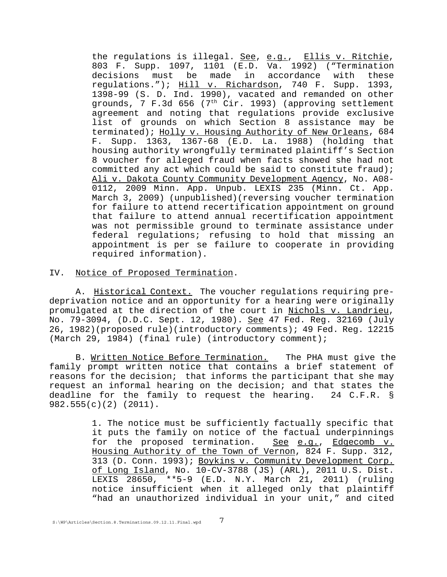the regulations is illegal. See, e.g., Ellis v. Ritchie, 803 F. Supp. 1097, 1101 (E.D. Va. 1992) ("Termination decisions must be made in accordance with these regulations."); Hill v. Richardson, 740 F. Supp. 1393, 1398-99 (S. D. Ind. 1990), vacated and remanded on other grounds, 7 F.3d 656 ( $7<sup>th</sup> Cir.$  1993) (approving settlement agreement and noting that regulations provide exclusive list of grounds on which Section 8 assistance may be terminated); Holly v. Housing Authority of New Orleans, 684 F. Supp. 1363, 1367-68 (E.D. La. 1988) (holding that housing authority wrongfully terminated plaintiff's Section 8 voucher for alleged fraud when facts showed she had not committed any act which could be said to constitute fraud); Ali v. Dakota County Community Development Agency, No. A08- 0112, 2009 Minn. App. Unpub. LEXIS 235 (Minn. Ct. App. March 3, 2009) (unpublished)(reversing voucher termination for failure to attend recertification appointment on ground that failure to attend annual recertification appointment was not permissible ground to terminate assistance under federal regulations; refusing to hold that missing an appointment is per se failure to cooperate in providing required information).

IV. Notice of Proposed Termination.

A. Historical Context. The voucher regulations requiring predeprivation notice and an opportunity for a hearing were originally promulgated at the direction of the court in Nichols v. Landrieu, No. 79-3094, (D.D.C. Sept. 12, 1980). See 47 Fed. Reg. 32169 (July 26, 1982)(proposed rule)(introductory comments); 49 Fed. Reg. 12215 (March 29, 1984) (final rule) (introductory comment);

B. Written Notice Before Termination. The PHA must give the family prompt written notice that contains a brief statement of reasons for the decision; that informs the participant that she may request an informal hearing on the decision; and that states the deadline for the family to request the hearing. 24 C.F.R. § 982.555(c)(2) (2011).

> 1. The notice must be sufficiently factually specific that it puts the family on notice of the factual underpinnings for the proposed termination. See e.g., Edgecomb v. Housing Authority of the Town of Vernon, 824 F. Supp. 312, 313 (D. Conn. 1993); Boykins v. Community Development Corp. of Long Island, No. 10-CV-3788 (JS) (ARL), 2011 U.S. Dist. LEXIS 28650, \*\*5-9 (E.D. N.Y. March 21, 2011) (ruling notice insufficient when it alleged only that plaintiff "had an unauthorized individual in your unit," and cited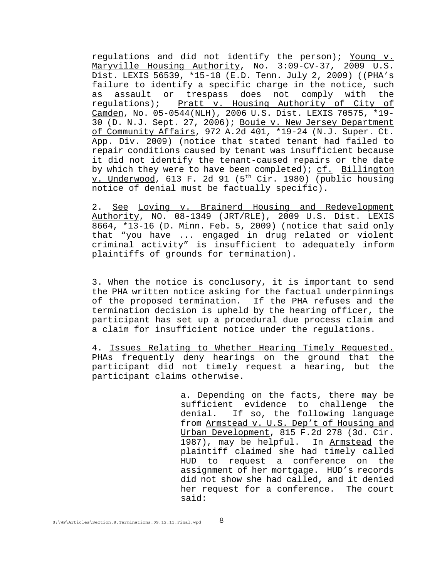regulations and did not identify the person); Young v. Maryville Housing Authority, No. 3:09-CV-37, 2009 U.S. Dist. LEXIS 56539, \*15-18 (E.D. Tenn. July 2, 2009) ((PHA's failure to identify a specific charge in the notice, such as assault or trespass does not comply with the regulations); Pratt v. Housing Authority of City of Camden, No. 05-0544(NLH), 2006 U.S. Dist. LEXIS 70575, \*19- 30 (D. N.J. Sept. 27, 2006); Bouie v. New Jersey Department of Community Affairs, 972 A.2d 401, \*19-24 (N.J. Super. Ct. App. Div. 2009) (notice that stated tenant had failed to repair conditions caused by tenant was insufficient because it did not identify the tenant-caused repairs or the date by which they were to have been completed);  $cf.$  Billington v. Underwood, 613 F. 2d 91 (5<sup>th</sup> Cir. 1980) (public housing notice of denial must be factually specific).

2. See Loving v. Brainerd Housing and Redevelopment Authority, NO. 08-1349 (JRT/RLE), 2009 U.S. Dist. LEXIS 8664, \*13-16 (D. Minn. Feb. 5, 2009) (notice that said only that "you have ... engaged in drug related or violent criminal activity" is insufficient to adequately inform plaintiffs of grounds for termination).

3. When the notice is conclusory, it is important to send the PHA written notice asking for the factual underpinnings of the proposed termination. If the PHA refuses and the termination decision is upheld by the hearing officer, the participant has set up a procedural due process claim and a claim for insufficient notice under the regulations.

4. Issues Relating to Whether Hearing Timely Requested. PHAs frequently deny hearings on the ground that the participant did not timely request a hearing, but the participant claims otherwise.

> a. Depending on the facts, there may be sufficient evidence to challenge the denial. If so, the following language from Armstead v. U.S. Dep't of Housing and Urban Development, 815 F.2d 278 (3d. Cir. 1987), may be helpful. In Armstead the plaintiff claimed she had timely called HUD to request a conference on the assignment of her mortgage. HUD's records did not show she had called, and it denied her request for a conference. The court said: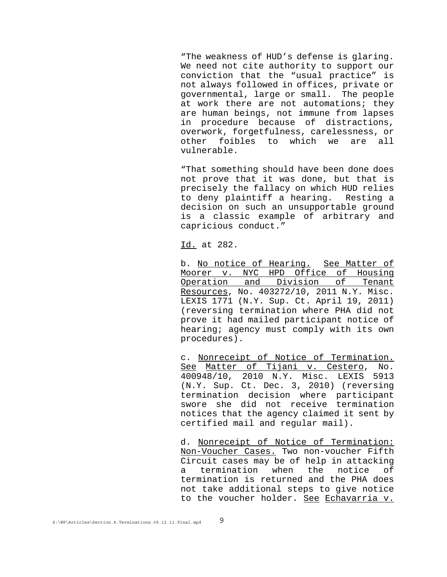"The weakness of HUD's defense is glaring. We need not cite authority to support our conviction that the "usual practice" is not always followed in offices, private or governmental, large or small. The people at work there are not automations; they are human beings, not immune from lapses in procedure because of distractions, overwork, forgetfulness, carelessness, or other foibles to which we are all vulnerable.

"That something should have been done does not prove that it was done, but that is precisely the fallacy on which HUD relies to deny plaintiff a hearing. Resting a decision on such an unsupportable ground is a classic example of arbitrary and capricious conduct."

Id. at 282.

b. No notice of Hearing. See Matter of Moorer v. NYC HPD Office of Housing Operation and Division of Tenant Resources, No. 403272/10, 2011 N.Y. Misc. LEXIS 1771 (N.Y. Sup. Ct. April 19, 2011) (reversing termination where PHA did not prove it had mailed participant notice of hearing; agency must comply with its own procedures).

c. Nonreceipt of Notice of Termination. See Matter of Tijani v. Cestero, No. 400948/10, 2010 N.Y. Misc. LEXIS 5913 (N.Y. Sup. Ct. Dec. 3, 2010) (reversing termination decision where participant swore she did not receive termination notices that the agency claimed it sent by certified mail and regular mail).

d. Nonreceipt of Notice of Termination: Non-Voucher Cases. Two non-voucher Fifth Circuit cases may be of help in attacking a termination when the notice of termination is returned and the PHA does not take additional steps to give notice to the voucher holder. See Echavarria v.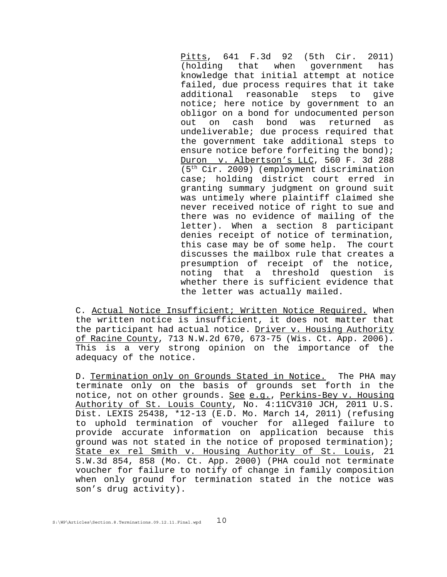Pitts, 641 F.3d 92 (5th Cir. 2011) (holding that when government has knowledge that initial attempt at notice failed, due process requires that it take additional reasonable steps to give notice; here notice by government to an obligor on a bond for undocumented person out on cash bond was returned as undeliverable; due process required that the government take additional steps to ensure notice before forfeiting the bond); Duron v. Albertson's LLC, 560 F. 3d 288 (5th Cir. 2009) (employment discrimination case; holding district court erred in granting summary judgment on ground suit was untimely where plaintiff claimed she never received notice of right to sue and there was no evidence of mailing of the letter). When a section 8 participant denies receipt of notice of termination, this case may be of some help. The court discusses the mailbox rule that creates a presumption of receipt of the notice, noting that a threshold question is whether there is sufficient evidence that the letter was actually mailed.

C. Actual Notice Insufficient; Written Notice Required. When the written notice is insufficient, it does not matter that the participant had actual notice. Driver v. Housing Authority of Racine County, 713 N.W.2d 670, 673-75 (Wis. Ct. App. 2006). This is a very strong opinion on the importance of the adequacy of the notice.

D. Termination only on Grounds Stated in Notice. The PHA may terminate only on the basis of grounds set forth in the notice, not on other grounds. See e.g., Perkins-Bey v. Housing Authority of St. Louis County, No. 4:11CV310 JCH, 2011 U.S. Dist. LEXIS 25438, \*12-13 (E.D. Mo. March 14, 2011) (refusing to uphold termination of voucher for alleged failure to provide accurate information on application because this ground was not stated in the notice of proposed termination); State ex rel Smith v. Housing Authority of St. Louis, 21 S.W.3d 854, 858 (Mo. Ct. App. 2000) (PHA could not terminate voucher for failure to notify of change in family composition when only ground for termination stated in the notice was son's drug activity).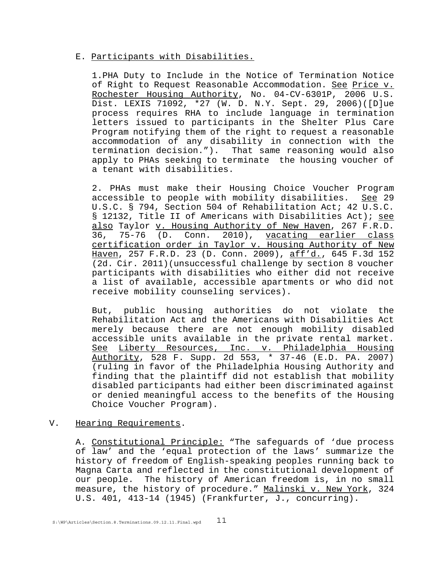#### E. Participants with Disabilities.

1.PHA Duty to Include in the Notice of Termination Notice of Right to Request Reasonable Accommodation. See Price v. Rochester Housing Authority, No. 04-CV-6301P, 2006 U.S. Dist. LEXIS 71092, \*27 (W. D. N.Y. Sept. 29, 2006)([D]ue process requires RHA to include language in termination letters issued to participants in the Shelter Plus Care Program notifying them of the right to request a reasonable accommodation of any disability in connection with the termination decision."). That same reasoning would also apply to PHAs seeking to terminate the housing voucher of a tenant with disabilities.

2. PHAs must make their Housing Choice Voucher Program accessible to people with mobility disabilities. See 29 U.S.C. § 794, Section 504 of Rehabilitation Act; 42 U.S.C. § 12132, Title II of Americans with Disabilities Act); see also Taylor v. Housing Authority of New Haven, 267 F.R.D. 36, 75-76 (D. Conn. 2010), vacating earlier class certification order in Taylor v. Housing Authority of New Haven, 257 F.R.D. 23 (D. Conn. 2009), aff'd., 645 F.3d 152 (2d. Cir. 2011)(unsuccessful challenge by section 8 voucher participants with disabilities who either did not receive a list of available, accessible apartments or who did not receive mobility counseling services).

But, public housing authorities do not violate the Rehabilitation Act and the Americans with Disabilities Act merely because there are not enough mobility disabled accessible units available in the private rental market. See Liberty Resources, Inc. v. Philadelphia Housing Authority, 528 F. Supp. 2d 553, \* 37-46 (E.D. PA. 2007) (ruling in favor of the Philadelphia Housing Authority and finding that the plaintiff did not establish that mobility disabled participants had either been discriminated against or denied meaningful access to the benefits of the Housing Choice Voucher Program).

### V. Hearing Requirements.

A. Constitutional Principle: "The safeguards of 'due process of law' and the 'equal protection of the laws' summarize the history of freedom of English-speaking peoples running back to Magna Carta and reflected in the constitutional development of our people. The history of American freedom is, in no small measure, the history of procedure." Malinski v. New York, 324 U.S. 401, 413-14 (1945) (Frankfurter, J., concurring).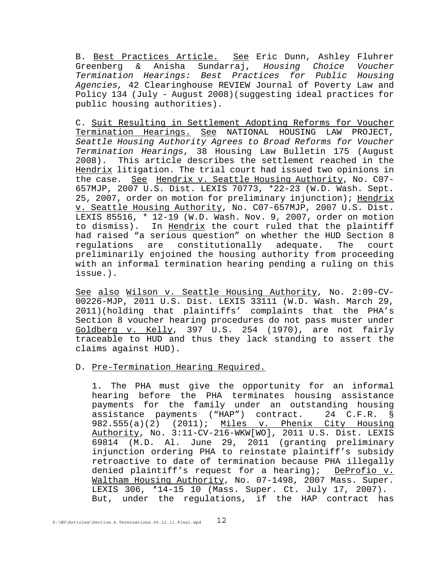B. Best Practices Article. See Eric Dunn, Ashley Fluhrer Greenberg & Anisha Sundarraj, *Housing Choice Voucher Termination Hearings: Best Practices for Public Housing Agencies,* 42 Clearinghouse REVIEW Journal of Poverty Law and Policy 134 (July - August 2008)(suggesting ideal practices for public housing authorities).

C. Suit Resulting in Settlement Adopting Reforms for Voucher Termination Hearings. See NATIONAL HOUSING LAW PROJECT, *Seattle Housing Authority Agrees to Broad Reforms for Voucher Termination Hearings*, 38 Housing Law Bulletin 175 (August 2008). This article describes the settlement reached in the Hendrix litigation. The trial court had issued two opinions in the case. See Hendrix v. Seattle Housing Authority, No. C07-657MJP, 2007 U.S. Dist. LEXIS 70773, \*22-23 (W.D. Wash. Sept. 25, 2007, order on motion for preliminary injunction); Hendrix v. Seattle Housing Authority, No. C07-657MJP, 2007 U.S. Dist. LEXIS 85516, \* 12-19 (W.D. Wash. Nov. 9, 2007, order on motion to dismiss). In Hendrix the court ruled that the plaintiff had raised "a serious question" on whether the HUD Section 8 regulations are constitutionally adequate. The court preliminarily enjoined the housing authority from proceeding with an informal termination hearing pending a ruling on this issue.).

See also Wilson v. Seattle Housing Authority, No. 2:09-CV-00226-MJP, 2011 U.S. Dist. LEXIS 33111 (W.D. Wash. March 29, 2011)(holding that plaintiffs' complaints that the PHA's Section 8 voucher hearing procedures do not pass muster under Goldberg v. Kelly, 397 U.S. 254 (1970), are not fairly traceable to HUD and thus they lack standing to assert the claims against HUD).

### D. Pre-Termination Hearing Required.

1. The PHA must give the opportunity for an informal hearing before the PHA terminates housing assistance payments for the family under an outstanding housing assistance payments ("HAP") contract. 24 C.F.R. § 982.555(a)(2) (2011); Miles v. Phenix City Housing Authority, No. 3:11-CV-216-WKW[WO], 2011 U.S. Dist. LEXIS 69814 (M.D. Al. June 29, 2011 (granting preliminary injunction ordering PHA to reinstate plaintiff's subsidy retroactive to date of termination because PHA illegally denied plaintiff's request for a hearing); DeProfio v. Waltham Housing Authority, No. 07-1498, 2007 Mass. Super. LEXIS 306, \*14-15 10 (Mass. Super. Ct. July 17, 2007). But, under the regulations, if the HAP contract has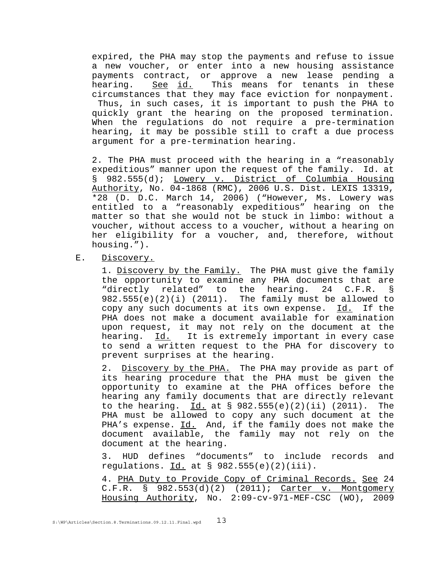expired, the PHA may stop the payments and refuse to issue a new voucher, or enter into a new housing assistance payments contract, or approve a new lease pending a See id. This means for tenants in these circumstances that they may face eviction for nonpayment. Thus, in such cases, it is important to push the PHA to quickly grant the hearing on the proposed termination. When the regulations do not require a pre-termination hearing, it may be possible still to craft a due process argument for a pre-termination hearing.

2. The PHA must proceed with the hearing in a "reasonably expeditious" manner upon the request of the family. Id. at § 982.555(d); Lowery v. District of Columbia Housing Authority, No. 04-1868 (RMC), 2006 U.S. Dist. LEXIS 13319, \*28 (D. D.C. March 14, 2006) ("However, Ms. Lowery was entitled to a "reasonably expeditious" hearing on the matter so that she would not be stuck in limbo: without a voucher, without access to a voucher, without a hearing on her eligibility for a voucher, and, therefore, without housing.").

E. Discovery.

1. Discovery by the Family. The PHA must give the family the opportunity to examine any PHA documents that are "directly related" to the hearing. 24 C.F.R. § 982.555(e)(2)(i) (2011). The family must be allowed to copy any such documents at its own expense.  $Id.$  If the PHA does not make a document available for examination upon request, it may not rely on the document at the hearing. Id. It is extremely important in every case to send a written request to the PHA for discovery to prevent surprises at the hearing.

2. Discovery by the PHA. The PHA may provide as part of its hearing procedure that the PHA must be given the opportunity to examine at the PHA offices before the hearing any family documents that are directly relevant to the hearing.  $\underline{Id.}$  at § 982.555(e)(2)(ii) (2011). The PHA must be allowed to copy any such document at the PHA's expense. Id. And, if the family does not make the document available, the family may not rely on the document at the hearing.

3. HUD defines "documents" to include records and regulations.  $Id.$  at § 982.555(e)(2)(iii).

4. PHA Duty to Provide Copy of Criminal Records. See 24 C.F.R. § 982.553(d)(2) (2011); Carter v. Montgomery Housing Authority, No. 2:09-cv-971-MEF-CSC (WO), 2009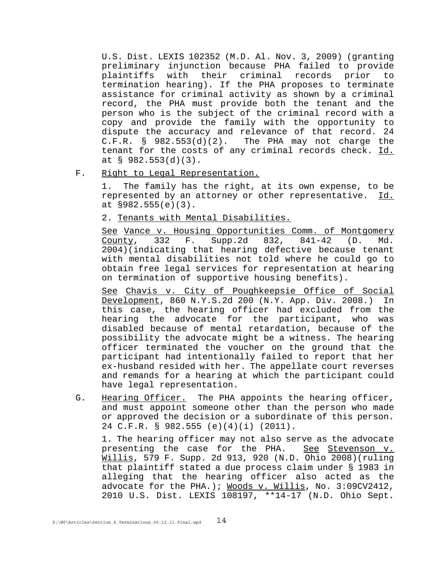U.S. Dist. LEXIS 102352 (M.D. Al. Nov. 3, 2009) (granting preliminary injunction because PHA failed to provide plaintiffs with their criminal records prior to termination hearing). If the PHA proposes to terminate assistance for criminal activity as shown by a criminal record, the PHA must provide both the tenant and the person who is the subject of the criminal record with a copy and provide the family with the opportunity to dispute the accuracy and relevance of that record. 24 C.F.R.  $\S$  982.553(d)(2). The PHA may not charge the tenant for the costs of any criminal records check. Id. at § 982.553(d)(3).

F. Right to Legal Representation.

1. The family has the right, at its own expense, to be represented by an attorney or other representative. Id. at §982.555(e)(3).

2. Tenants with Mental Disabilities.

See Vance v. Housing Opportunities Comm. of Montgomery County, 332 F. Supp.2d 832, 841-42 (D. Md. 2004)(indicating that hearing defective because tenant with mental disabilities not told where he could go to obtain free legal services for representation at hearing on termination of supportive housing benefits).

See Chavis v. City of Poughkeepsie Office of Social Development, 860 N.Y.S.2d 200 (N.Y. App. Div. 2008.) In this case, the hearing officer had excluded from the hearing the advocate for the participant, who was disabled because of mental retardation, because of the possibility the advocate might be a witness. The hearing officer terminated the voucher on the ground that the participant had intentionally failed to report that her ex-husband resided with her. The appellate court reverses and remands for a hearing at which the participant could have legal representation.

G. Hearing Officer. The PHA appoints the hearing officer, and must appoint someone other than the person who made or approved the decision or a subordinate of this person. 24 C.F.R. § 982.555 (e)(4)(i) (2011).

1. The hearing officer may not also serve as the advocate presenting the case for the PHA. See Stevenson v. Willis, 579 F. Supp. 2d 913, 920 (N.D. Ohio 2008)(ruling that plaintiff stated a due process claim under § 1983 in alleging that the hearing officer also acted as the advocate for the PHA.); Woods v. Willis, No. 3:09CV2412, 2010 U.S. Dist. LEXIS 108197, \*\*14-17 (N.D. Ohio Sept.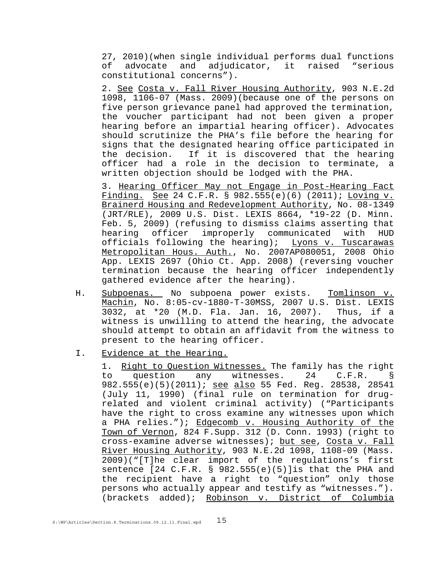27, 2010)(when single individual performs dual functions of advocate and adjudicator, it raised "serious constitutional concerns").

2. See Costa v. Fall River Housing Authority, 903 N.E.2d 1098, 1106-07 (Mass. 2009)(because one of the persons on five person grievance panel had approved the termination, the voucher participant had not been given a proper hearing before an impartial hearing officer). Advocates should scrutinize the PHA's file before the hearing for signs that the designated hearing office participated in<br>the decision. If it is discovered that the hearing If it is discovered that the hearing officer had a role in the decision to terminate, a written objection should be lodged with the PHA.

3. Hearing Officer May not Engage in Post-Hearing Fact Finding. See 24 C.F.R. § 982.555(e)(6) (2011); Loving v. Brainerd Housing and Redevelopment Authority, No. 08-1349 (JRT/RLE), 2009 U.S. Dist. LEXIS 8664, \*19-22 (D. Minn. Feb. 5, 2009) (refusing to dismiss claims asserting that hearing officer improperly communicated with HUD officials following the hearing); Lyons v. Tuscarawas Metropolitan Hous. Auth., No. 2007AP080051, 2008 Ohio App. LEXIS 2697 (Ohio Ct. App. 2008) (reversing voucher termination because the hearing officer independently gathered evidence after the hearing).

- H. Subpoenas. No subpoena power exists. Tomlinson v. Machin, No. 8:05-cv-1880-T-30MSS, 2007 U.S. Dist. LEXIS 3032, at \*20 (M.D. Fla. Jan. 16, 2007). Thus, if a witness is unwilling to attend the hearing, the advocate should attempt to obtain an affidavit from the witness to present to the hearing officer.
- I. Evidence at the Hearing.

1. Right to Question Witnesses. The family has the right to question any witnesses. 24 C.F.R. § 982.555(e)(5)(2011); see also 55 Fed. Reg. 28538, 28541 (July 11, 1990) (final rule on termination for drugrelated and violent criminal activity) ("Participants have the right to cross examine any witnesses upon which a PHA relies."); Edgecomb v. Housing Authority of the Town of Vernon, 824 F.Supp. 312 (D. Conn. 1993) (right to cross-examine adverse witnesses); but see, Costa v. Fall River Housing Authority, 903 N.E.2d 1098, 1108-09 (Mass. 2009)("[T]he clear import of the regulations's first sentence [24 C.F.R. § 982.555(e)(5)]is that the PHA and the recipient have a right to "question" only those persons who actually appear and testify as "witnesses."). (brackets added); Robinson v. District of Columbia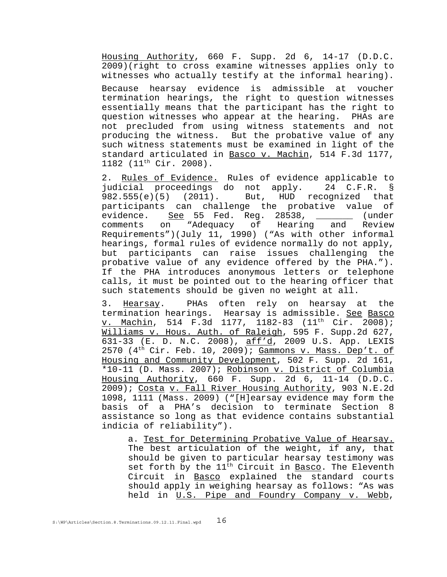Housing Authority, 660 F. Supp. 2d 6, 14-17 (D.D.C. 2009)(right to cross examine witnesses applies only to witnesses who actually testify at the informal hearing).

Because hearsay evidence is admissible at voucher termination hearings, the right to question witnesses essentially means that the participant has the right to question witnesses who appear at the hearing. PHAs are not precluded from using witness statements and not producing the witness. But the probative value of any such witness statements must be examined in light of the standard articulated in Basco v. Machin, 514 F.3d 1177, 1182 (11th Cir. 2008).

2. Rules of Evidence. Rules of evidence applicable to judicial proceedings do not apply. 24 C.F.R. § 982.555(e)(5) (2011). But, HUD recognized that participants can challenge the probative value of evidence. See 55 Fed. Reg. 28538, \_\_\_\_\_\_\_ (under comments on "Adequacy of Hearing and Review Requirements")(July 11, 1990) ("As with other informal hearings, formal rules of evidence normally do not apply, but participants can raise issues challenging the probative value of any evidence offered by the PHA."). If the PHA introduces anonymous letters or telephone calls, it must be pointed out to the hearing officer that such statements should be given no weight at all.

3. Hearsay. PHAs often rely on hearsay at the termination hearings. Hearsay is admissible. See Basco v. Machin, 514 F.3d 1177, 1182-83 (11<sup>th</sup> Cir. 2008); Williams v. Hous. Auth. of Raleigh, 595 F. Supp.2d 627, 631-33 (E. D. N.C. 2008), aff'd, 2009 U.S. App. LEXIS 2570  $(4<sup>th</sup> Cir. Feb. 10, 2009)$ ; Gammons v. Mass. Dep't. of Housing and Community Development, 502 F. Supp. 2d 161, \*10-11 (D. Mass. 2007); Robinson v. District of Columbia Housing Authority, 660 F. Supp. 2d 6, 11-14 (D.D.C. 2009); Costa v. Fall River Housing Authority, 903 N.E.2d 1098, 1111 (Mass. 2009) ("[H]earsay evidence may form the basis of a PHA's decision to terminate Section 8 assistance so long as that evidence contains substantial indicia of reliability").

a. Test for Determining Probative Value of Hearsay. The best articulation of the weight, if any, that should be given to particular hearsay testimony was set forth by the 11<sup>th</sup> Circuit in Basco. The Eleventh Circuit in Basco explained the standard courts should apply in weighing hearsay as follows: "As was held in U.S. Pipe and Foundry Company v. Webb,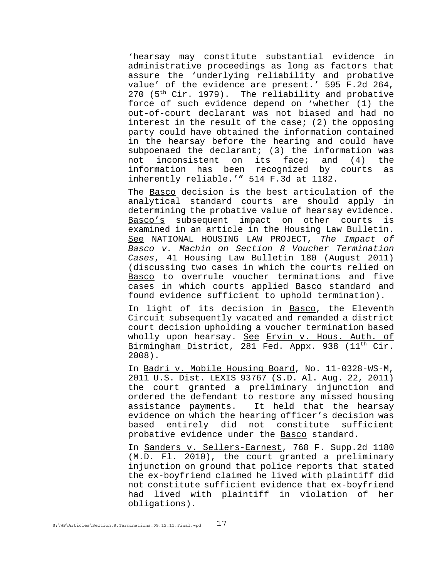'hearsay may constitute substantial evidence in administrative proceedings as long as factors that assure the 'underlying reliability and probative value' of the evidence are present.' 595 F.2d 264,  $270$  ( $5<sup>th</sup>$  Cir. 1979). The reliability and probative force of such evidence depend on 'whether (1) the out-of-court declarant was not biased and had no interest in the result of the case; (2) the opposing party could have obtained the information contained in the hearsay before the hearing and could have subpoenaed the declarant; (3) the information was not inconsistent on its face; and (4) the information has been recognized by courts as inherently reliable.'" 514 F.3d at 1182.

The Basco decision is the best articulation of the analytical standard courts are should apply in determining the probative value of hearsay evidence. Basco's subsequent impact on other courts is examined in an article in the Housing Law Bulletin. See NATIONAL HOUSING LAW PROJECT, *The Impact of Basco v. Machin on Section 8 Voucher Termination Cases*, 41 Housing Law Bulletin 180 (August 2011) (discussing two cases in which the courts relied on Basco to overrule voucher terminations and five cases in which courts applied Basco standard and found evidence sufficient to uphold termination).

In light of its decision in Basco, the Eleventh Circuit subsequently vacated and remanded a district court decision upholding a voucher termination based wholly upon hearsay. See Ervin v. Hous. Auth. of Birmingham District, 281 Fed. Appx. 938 (11<sup>th</sup> Cir. 2008).

In Badri v. Mobile Housing Board, No. 11-0328-WS-M, 2011 U.S. Dist. LEXIS 93767 (S.D. Al. Aug. 22, 2011) the court granted a preliminary injunction and ordered the defendant to restore any missed housing assistance payments. It held that the hearsay evidence on which the hearing officer's decision was based entirely did not constitute sufficient probative evidence under the Basco standard.

In Sanders v. Sellers-Earnest, 768 F. Supp.2d 1180 (M.D. Fl. 2010), the court granted a preliminary injunction on ground that police reports that stated the ex-boyfriend claimed he lived with plaintiff did not constitute sufficient evidence that ex-boyfriend had lived with plaintiff in violation of her obligations).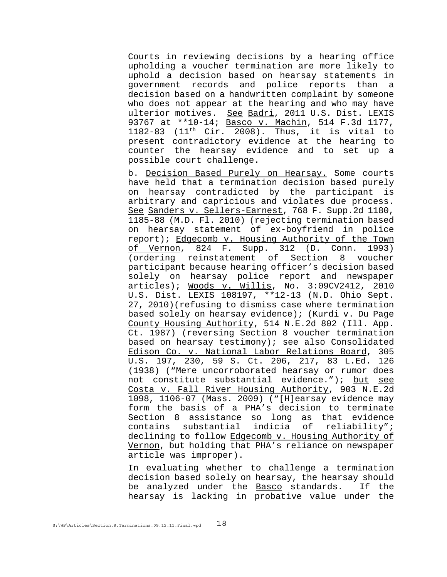Courts in reviewing decisions by a hearing office upholding a voucher termination are more likely to uphold a decision based on hearsay statements in government records and police reports than a decision based on a handwritten complaint by someone who does not appear at the hearing and who may have ulterior motives. See Badri, 2011 U.S. Dist. LEXIS 93767 at \*\*10-14; Basco v. Machin, 514 F.3d 1177, 1182-83 (11<sup>th</sup> Cir. 2008). Thus, it is vital to present contradictory evidence at the hearing to counter the hearsay evidence and to set up a possible court challenge.

b. Decision Based Purely on Hearsay. Some courts have held that a termination decision based purely on hearsay contradicted by the participant is arbitrary and capricious and violates due process. See Sanders v. Sellers-Earnest, 768 F. Supp.2d 1180, 1185-88 (M.D. Fl. 2010) (rejecting termination based on hearsay statement of ex-boyfriend in police report); Edgecomb v. Housing Authority of the Town of Vernon, 824 F. Supp. 312 (D. Conn. 1993) (ordering reinstatement of Section 8 voucher participant because hearing officer's decision based solely on hearsay police report and newspaper articles); Woods v. Willis, No. 3:09CV2412, 2010 U.S. Dist. LEXIS 108197, \*\*12-13 (N.D. Ohio Sept. 27, 2010)(refusing to dismiss case where termination based solely on hearsay evidence); (Kurdi v. Du Page County Housing Authority, 514 N.E.2d 802 (Ill. App. Ct. 1987) (reversing Section 8 voucher termination based on hearsay testimony); see also Consolidated Edison Co. v. National Labor Relations Board, 305 U.S. 197, 230, 59 S. Ct. 206, 217, 83 L.Ed. 126 (1938) ("Mere uncorroborated hearsay or rumor does not constitute substantial evidence."); but see Costa v. Fall River Housing Authority, 903 N.E.2d 1098, 1106-07 (Mass. 2009) ("[H]earsay evidence may form the basis of a PHA's decision to terminate Section 8 assistance so long as that evidence contains substantial indicia of reliability"; declining to follow Edgecomb v. Housing Authority of Vernon, but holding that PHA's reliance on newspaper article was improper).

In evaluating whether to challenge a termination decision based solely on hearsay, the hearsay should be analyzed under the Basco standards. If the hearsay is lacking in probative value under the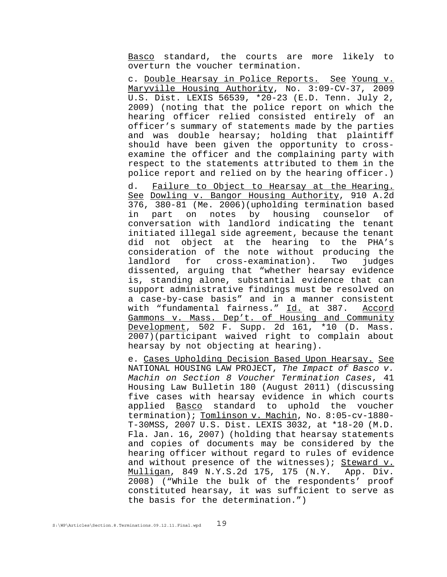Basco standard, the courts are more likely to overturn the voucher termination.

c. Double Hearsay in Police Reports. See Young v. Maryville Housing Authority, No. 3:09-CV-37, 2009 U.S. Dist. LEXIS 56539, \*20-23 (E.D. Tenn. July 2, 2009) (noting that the police report on which the hearing officer relied consisted entirely of an officer's summary of statements made by the parties and was double hearsay; holding that plaintiff should have been given the opportunity to crossexamine the officer and the complaining party with respect to the statements attributed to them in the police report and relied on by the hearing officer.)

 d. Failure to Object to Hearsay at the Hearing. See Dowling v. Bangor Housing Authority, 910 A.2d 376, 380-81 (Me. 2006)(upholding termination based in part on notes by housing counselor of conversation with landlord indicating the tenant initiated illegal side agreement, because the tenant did not object at the hearing to the PHA's consideration of the note without producing the landlord for cross-examination). Two judges dissented, arguing that "whether hearsay evidence is, standing alone, substantial evidence that can support administrative findings must be resolved on a case-by-case basis" and in a manner consistent with "fundamental fairness." Id. at 387. Accord Gammons v. Mass. Dep't. of Housing and Community Development, 502 F. Supp. 2d 161, \*10 (D. Mass. 2007)(participant waived right to complain about hearsay by not objecting at hearing).

e. Cases Upholding Decision Based Upon Hearsay. See NATIONAL HOUSING LAW PROJECT, *The Impact of Basco v. Machin on Section 8 Voucher Termination Cases*, 41 Housing Law Bulletin 180 (August 2011) (discussing five cases with hearsay evidence in which courts applied Basco standard to uphold the voucher termination); Tomlinson v. Machin, No. 8:05-cv-1880-T-30MSS, 2007 U.S. Dist. LEXIS 3032, at \*18-20 (M.D. Fla. Jan. 16, 2007) (holding that hearsay statements and copies of documents may be considered by the hearing officer without regard to rules of evidence and without presence of the witnesses); Steward v. Mulligan, 849 N.Y.S.2d 175, 175 (N.Y. App. Div. 2008) ("While the bulk of the respondents' proof constituted hearsay, it was sufficient to serve as the basis for the determination.")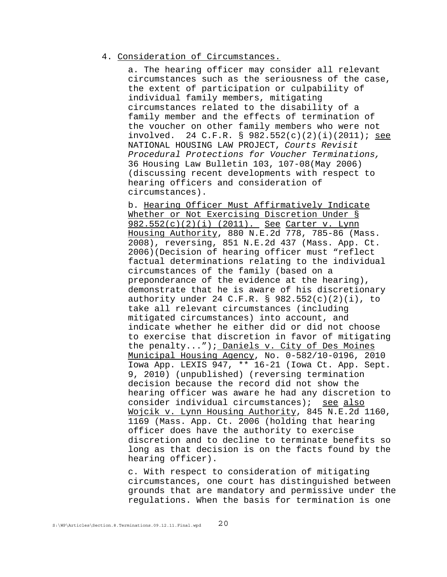### 4. Consideration of Circumstances.

a. The hearing officer may consider all relevant circumstances such as the seriousness of the case, the extent of participation or culpability of individual family members, mitigating circumstances related to the disability of a family member and the effects of termination of the voucher on other family members who were not involved. 24 C.F.R. § 982.552(c)(2)(i)(2011); see NATIONAL HOUSING LAW PROJECT, *Courts Revisit Procedural Protections for Voucher Terminations,* 36 Housing Law Bulletin 103, 107-08(May 2006) (discussing recent developments with respect to hearing officers and consideration of circumstances).

b. Hearing Officer Must Affirmatively Indicate Whether or Not Exercising Discretion Under § 982.552(c)(2)(i) (2011). See Carter v. Lynn Housing Authority, 880 N.E.2d 778, 785-86 (Mass. 2008), reversing, 851 N.E.2d 437 (Mass. App. Ct. 2006)(Decision of hearing officer must "reflect factual determinations relating to the individual circumstances of the family (based on a preponderance of the evidence at the hearing), demonstrate that he is aware of his discretionary authority under 24 C.F.R. §  $982.552(c)(2)(i)$ , to take all relevant circumstances (including mitigated circumstances) into account, and indicate whether he either did or did not choose to exercise that discretion in favor of mitigating the penalty..."); Daniels v. City of Des Moines Municipal Housing Agency, No. 0-582/10-0196, 2010 Iowa App. LEXIS 947, \*\* 16-21 (Iowa Ct. App. Sept. 9, 2010) (unpublished) (reversing termination decision because the record did not show the hearing officer was aware he had any discretion to consider individual circumstances); see also Wojcik v. Lynn Housing Authority, 845 N.E.2d 1160, 1169 (Mass. App. Ct. 2006 (holding that hearing officer does have the authority to exercise discretion and to decline to terminate benefits so long as that decision is on the facts found by the hearing officer).

c. With respect to consideration of mitigating circumstances, one court has distinguished between grounds that are mandatory and permissive under the regulations. When the basis for termination is one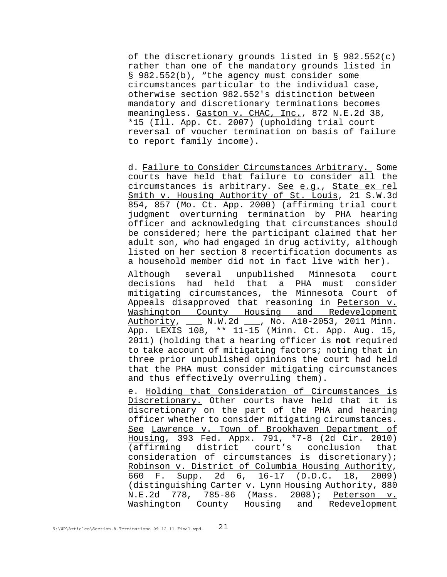of the discretionary grounds listed in §  $982.552(c)$ rather than one of the mandatory grounds listed in § 982.552(b), "the agency must consider some circumstances particular to the individual case, otherwise section 982.552's distinction between mandatory and discretionary terminations becomes meaningless. Gaston v. CHAC, Inc., 872 N.E.2d 38, \*15 (Ill. App. Ct. 2007) (upholding trial court reversal of voucher termination on basis of failure to report family income).

d. Failure to Consider Circumstances Arbitrary. Some courts have held that failure to consider all the circumstances is arbitrary. See e.g., State ex rel Smith v. Housing Authority of St. Louis, 21 S.W.3d 854, 857 (Mo. Ct. App. 2000) (affirming trial court judgment overturning termination by PHA hearing officer and acknowledging that circumstances should be considered; here the participant claimed that her adult son, who had engaged in drug activity, although listed on her section 8 recertification documents as a household member did not in fact live with her).

Although several unpublished Minnesota court decisions had held that a PHA must consider mitigating circumstances, the Minnesota Court of Appeals disapproved that reasoning in Peterson v. Washington County Housing and Redevelopment Authority, \_\_\_ N.W.2d \_\_\_, No. A10-2053, 2011 Minn. App. LEXIS 108, \*\* 11-15 (Minn. Ct. App. Aug. 15, 2011) (holding that a hearing officer is **not** required to take account of mitigating factors; noting that in three prior unpublished opinions the court had held that the PHA must consider mitigating circumstances and thus effectively overruling them).

e. Holding that Consideration of Circumstances is Discretionary. Other courts have held that it is discretionary on the part of the PHA and hearing officer whether to consider mitigating circumstances. See Lawrence v. Town of Brookhaven Department of Housing, 393 Fed. Appx. 791, \*7-8 (2d Cir. 2010) (affirming district court's conclusion that consideration of circumstances is discretionary); Robinson v. District of Columbia Housing Authority, 660 F. Supp. 2d 6, 16-17 (D.D.C. 18, 2009) (distinguishing Carter v. Lynn Housing Authority, 880 N.E.2d 778, 785-86 (Mass. 2008); Peterson v. Washington County Housing and Redevelopment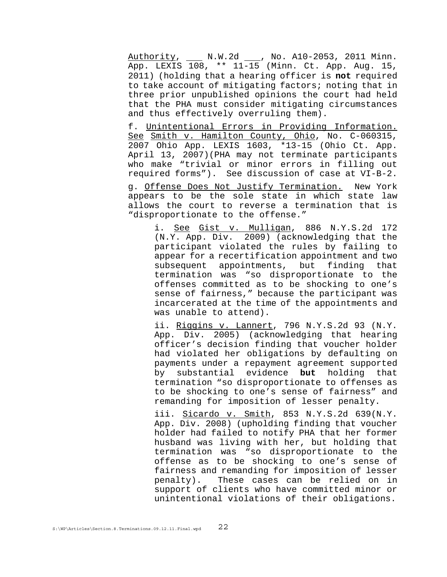Authority, \_\_\_ N.W.2d \_\_\_, No. A10-2053, 2011 Minn. App. LEXIS 108, \*\* 11-15 (Minn. Ct. App. Aug. 15, 2011) (holding that a hearing officer is **not** required to take account of mitigating factors; noting that in three prior unpublished opinions the court had held that the PHA must consider mitigating circumstances and thus effectively overruling them).

f. Unintentional Errors in Providing Information. See **Smith v. Hamilton County, Ohio**, No. C-060315, 2007 Ohio App. LEXIS 1603, \*13-15 (Ohio Ct. App. April 13, 2007)(PHA may not terminate participants who make "trivial or minor errors in filling out required forms"). See discussion of case at VI-B-2.

g. Offense Does Not Justify Termination. New York appears to be the sole state in which state law allows the court to reverse a termination that is "disproportionate to the offense."

i. See Gist v. Mulligan, 886 N.Y.S.2d 172 (N.Y. App. Div. 2009) (acknowledging that the participant violated the rules by failing to appear for a recertification appointment and two subsequent appointments, but finding that termination was "so disproportionate to the offenses committed as to be shocking to one's sense of fairness," because the participant was incarcerated at the time of the appointments and was unable to attend).

ii. Riggins v. Lannert, 796 N.Y.S.2d 93 (N.Y. App. Div. 2005) (acknowledging that hearing officer's decision finding that voucher holder had violated her obligations by defaulting on payments under a repayment agreement supported by substantial evidence **but** holding that termination "so disproportionate to offenses as to be shocking to one's sense of fairness" and remanding for imposition of lesser penalty.

iii. Sicardo v. Smith, 853 N.Y.S.2d 639(N.Y. App. Div. 2008) (upholding finding that voucher holder had failed to notify PHA that her former husband was living with her, but holding that termination was "so disproportionate to the offense as to be shocking to one's sense of fairness and remanding for imposition of lesser penalty). These cases can be relied on in support of clients who have committed minor or unintentional violations of their obligations.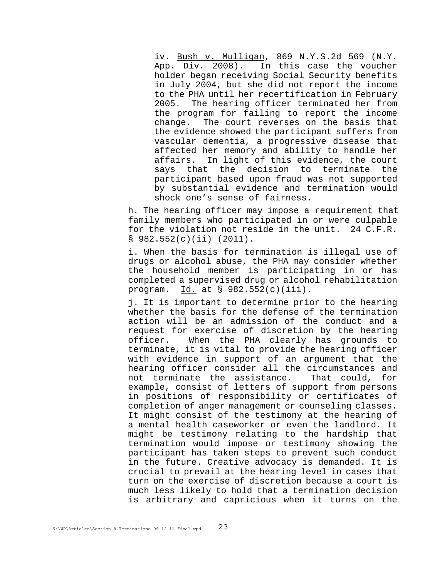iv. Bush v. Mulligan, 869 N.Y.S.2d 569 (N.Y. App. Div. 2008). In this case the voucher holder began receiving Social Security benefits in July 2004, but she did not report the income to the PHA until her recertification in February 2005. The hearing officer terminated her from the program for failing to report the income change. The court reverses on the basis that the evidence showed the participant suffers from vascular dementia, a progressive disease that affected her memory and ability to handle her affairs. In light of this evidence, the court says that the decision to terminate the participant based upon fraud was not supported by substantial evidence and termination would shock one's sense of fairness.

 h. The hearing officer may impose a requirement that family members who participated in or were culpable for the violation not reside in the unit. 24 C.F.R.  $\S$  982.552(c)(ii) (2011).

i. When the basis for termination is illegal use of drugs or alcohol abuse, the PHA may consider whether the household member is participating in or has completed a supervised drug or alcohol rehabilitation program.  $Id.$  at § 982.552(c)(iii).

j. It is important to determine prior to the hearing whether the basis for the defense of the termination action will be an admission of the conduct and a request for exercise of discretion by the hearing officer. When the PHA clearly has grounds to terminate, it is vital to provide the hearing officer with evidence in support of an argument that the hearing officer consider all the circumstances and not terminate the assistance. That could, for example, consist of letters of support from persons in positions of responsibility or certificates of completion of anger management or counseling classes. It might consist of the testimony at the hearing of a mental health caseworker or even the landlord. It might be testimony relating to the hardship that termination would impose or testimony showing the participant has taken steps to prevent such conduct in the future. Creative advocacy is demanded. It is crucial to prevail at the hearing level in cases that turn on the exercise of discretion because a court is much less likely to hold that a termination decision is arbitrary and capricious when it turns on the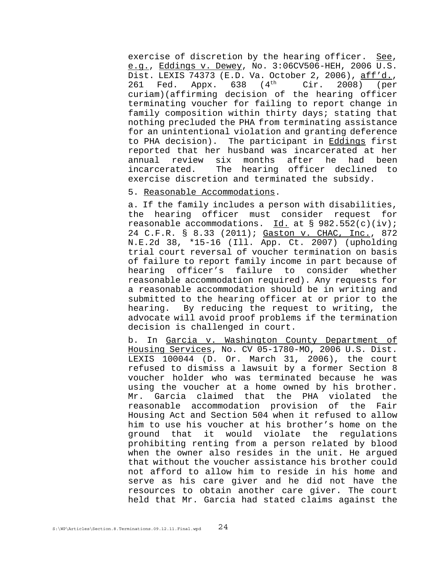exercise of discretion by the hearing officer. See, e.g., Eddings v. Dewey, No. 3:06CV506-HEH, 2006 U.S. Dist. LEXIS 74373 (E.D. Va. October 2, 2006), aff'd., 261 Fed. Appx. 638 (4<sup>th</sup> Cir. 2008) (per curiam)(affirming decision of the hearing officer terminating voucher for failing to report change in family composition within thirty days; stating that nothing precluded the PHA from terminating assistance for an unintentional violation and granting deference to PHA decision). The participant in Eddings first reported that her husband was incarcerated at her annual review six months after he had been incarcerated. The hearing officer declined to exercise discretion and terminated the subsidy.

### 5. Reasonable Accommodations.

a. If the family includes a person with disabilities, the hearing officer must consider request for reasonable accommodations. Id. at  $\S$  982.552(c)(iv); 24 C.F.R. § 8.33 (2011); Gaston v. CHAC, Inc., 872 N.E.2d 38, \*15-16 (Ill. App. Ct. 2007) (upholding trial court reversal of voucher termination on basis of failure to report family income in part because of hearing officer's failure to consider whether reasonable accommodation required). Any requests for a reasonable accommodation should be in writing and submitted to the hearing officer at or prior to the hearing. By reducing the request to writing, the advocate will avoid proof problems if the termination decision is challenged in court.

b. In Garcia v. Washington County Department of Housing Services, No. CV 05-1780-MO, 2006 U.S. Dist. LEXIS 100044 (D. Or. March 31, 2006), the court refused to dismiss a lawsuit by a former Section 8 voucher holder who was terminated because he was using the voucher at a home owned by his brother. Mr. Garcia claimed that the PHA violated the reasonable accommodation provision of the Fair Housing Act and Section 504 when it refused to allow him to use his voucher at his brother's home on the ground that it would violate the regulations prohibiting renting from a person related by blood when the owner also resides in the unit. He argued that without the voucher assistance his brother could not afford to allow him to reside in his home and serve as his care giver and he did not have the resources to obtain another care giver. The court held that Mr. Garcia had stated claims against the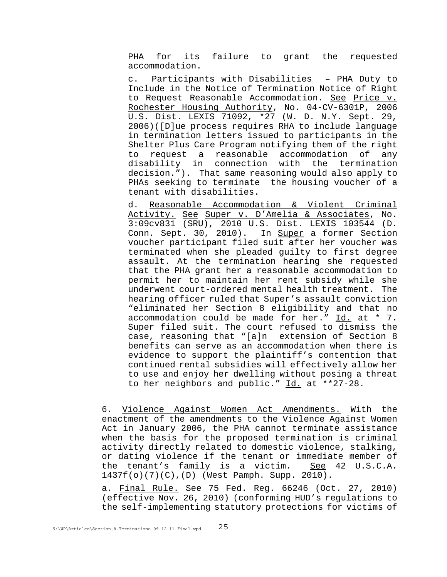PHA for its failure to grant the requested accommodation.

c. Participants with Disabilities – PHA Duty to Include in the Notice of Termination Notice of Right to Request Reasonable Accommodation. See Price v. Rochester Housing Authority, No. 04-CV-6301P, 2006 U.S. Dist. LEXIS 71092, \*27 (W. D. N.Y. Sept. 29, 2006)([D]ue process requires RHA to include language in termination letters issued to participants in the Shelter Plus Care Program notifying them of the right to request a reasonable accommodation of any disability in connection with the termination decision."). That same reasoning would also apply to PHAs seeking to terminate the housing voucher of a tenant with disabilities.

d. Reasonable Accommodation & Violent Criminal Activity. See Super v. D'Amelia & Associates, No. 3:09cv831 (SRU), 2010 U.S. Dist. LEXIS 103544 (D. Conn. Sept. 30, 2010). In Super a former Section voucher participant filed suit after her voucher was terminated when she pleaded guilty to first degree assault. At the termination hearing she requested that the PHA grant her a reasonable accommodation to permit her to maintain her rent subsidy while she underwent court-ordered mental health treatment. The hearing officer ruled that Super's assault conviction "eliminated her Section 8 eligibility and that no accommodation could be made for her." Id. at \* 7. Super filed suit. The court refused to dismiss the case, reasoning that "[a]n extension of Section 8 benefits can serve as an accommodation when there is evidence to support the plaintiff's contention that continued rental subsidies will effectively allow her to use and enjoy her dwelling without posing a threat to her neighbors and public." Id. at \*\*27-28.

6. Violence Against Women Act Amendments. With the enactment of the amendments to the Violence Against Women Act in January 2006, the PHA cannot terminate assistance when the basis for the proposed termination is criminal activity directly related to domestic violence, stalking, or dating violence if the tenant or immediate member of the tenant's family is a victim. See 42 U.S.C.A. 1437f(o)(7)(C),(D) (West Pamph. Supp. 2010).

a. Final Rule. See 75 Fed. Reg. 66246 (Oct. 27, 2010) (effective Nov. 26, 2010) (conforming HUD's regulations to the self-implementing statutory protections for victims of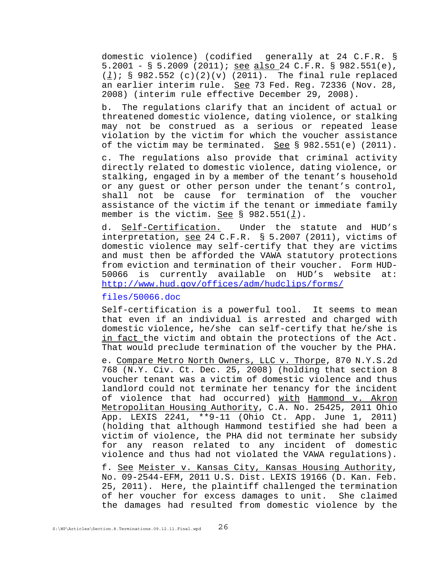domestic violence) (codified generally at 24 C.F.R. § 5.2001 - § 5.2009 (2011); see also 24 C.F.R. § 982.551(e), (*l*); § 982.552 (c)(2)(v) (2011). The final rule replaced an earlier interim rule. See 73 Fed. Reg. 72336 (Nov. 28, 2008) (interim rule effective December 29, 2008).

b. The regulations clarify that an incident of actual or threatened domestic violence, dating violence, or stalking may not be construed as a serious or repeated lease violation by the victim for which the voucher assistance of the victim may be terminated. See § 982.551(e) (2011).

c. The regulations also provide that criminal activity directly related to domestic violence, dating violence, or stalking, engaged in by a member of the tenant's household or any guest or other person under the tenant's control, shall not be cause for termination of the voucher assistance of the victim if the tenant or immediate family member is the victim. See § 982.551(*l*).

d. Self-Certification. Under the statute and HUD's interpretation, see 24 C.F.R. § 5.2007 (2011), victims of domestic violence may self-certify that they are victims and must then be afforded the VAWA statutory protections from eviction and termination of their voucher. Form HUD-50066 is currently available on HUD's website at: http://www.hud.gov/offices/adm/hudclips/forms/

## files/50066.doc

Self-certification is a powerful tool. It seems to mean that even if an individual is arrested and charged with domestic violence, he/she can self-certify that he/she is in fact the victim and obtain the protections of the Act. That would preclude termination of the voucher by the PHA.

e. Compare Metro North Owners, LLC v. Thorpe, 870 N.Y.S.2d 768 (N.Y. Civ. Ct. Dec. 25, 2008) (holding that section 8 voucher tenant was a victim of domestic violence and thus landlord could not terminate her tenancy for the incident of violence that had occurred) with Hammond v. Akron Metropolitan Housing Authority, C.A. No. 25425, 2011 Ohio App. LEXIS 2241, \*\*9-11 (Ohio Ct. App. June 1, 2011) (holding that although Hammond testified she had been a victim of violence, the PHA did not terminate her subsidy for any reason related to any incident of domestic violence and thus had not violated the VAWA regulations).

f. See Meister v. Kansas City, Kansas Housing Authority, No. 09-2544-EFM, 2011 U.S. Dist. LEXIS 19166 (D. Kan. Feb. 25, 2011). Here, the plaintiff challenged the termination of her voucher for excess damages to unit. She claimed the damages had resulted from domestic violence by the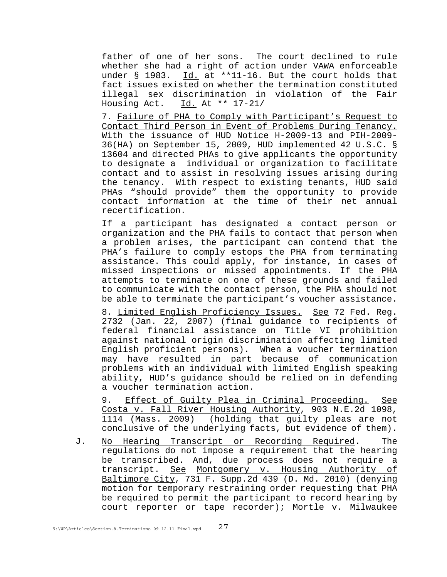father of one of her sons. The court declined to rule whether she had a right of action under VAWA enforceable under  $\S$  1983. Id. at \*\*11-16. But the court holds that fact issues existed on whether the termination constituted illegal sex discrimination in violation of the Fair Housing Act. Id. At \*\* 17-21/

7. Failure of PHA to Comply with Participant's Request to Contact Third Person in Event of Problems During Tenancy. With the issuance of HUD Notice H-2009-13 and PIH-2009- 36(HA) on September 15, 2009, HUD implemented 42 U.S.C. § 13604 and directed PHAs to give applicants the opportunity to designate a individual or organization to facilitate contact and to assist in resolving issues arising during the tenancy. With respect to existing tenants, HUD said PHAs "should provide" them the opportunity to provide contact information at the time of their net annual recertification.

If a participant has designated a contact person or organization and the PHA fails to contact that person when a problem arises, the participant can contend that the PHA's failure to comply estops the PHA from terminating assistance. This could apply, for instance, in cases of missed inspections or missed appointments. If the PHA attempts to terminate on one of these grounds and failed to communicate with the contact person, the PHA should not be able to terminate the participant's voucher assistance.

8. Limited English Proficiency Issues. See 72 Fed. Reg. 2732 (Jan. 22, 2007) (final guidance to recipients of federal financial assistance on Title VI prohibition against national origin discrimination affecting limited English proficient persons). When a voucher termination may have resulted in part because of communication problems with an individual with limited English speaking ability, HUD's guidance should be relied on in defending a voucher termination action.

9. Effect of Guilty Plea in Criminal Proceeding. See Costa v. Fall River Housing Authority, 903 N.E.2d 1098, 1114 (Mass. 2009) (holding that guilty pleas are not conclusive of the underlying facts, but evidence of them).

J. No Hearing Transcript or Recording Required. The regulations do not impose a requirement that the hearing be transcribed. And, due process does not require a transcript. See Montgomery v. Housing Authority of Baltimore City, 731 F. Supp.2d 439 (D. Md. 2010) (denying motion for temporary restraining order requesting that PHA be required to permit the participant to record hearing by court reporter or tape recorder); Mortle v. Milwaukee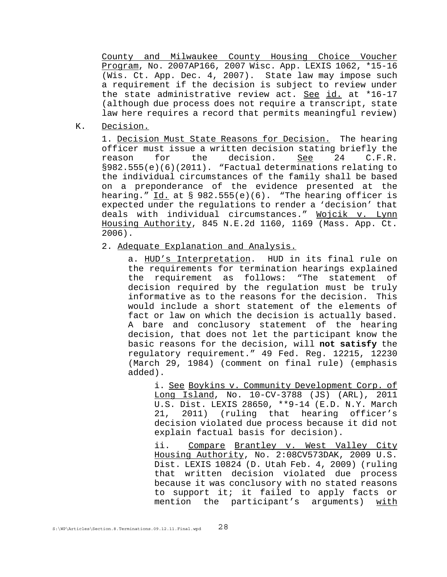County and Milwaukee County Housing Choice Voucher Program, No. 2007AP166, 2007 Wisc. App. LEXIS 1062, \*15-16 (Wis. Ct. App. Dec. 4, 2007). State law may impose such a requirement if the decision is subject to review under the state administrative review act. See id. at \*16-17 (although due process does not require a transcript, state law here requires a record that permits meaningful review)

K. Decision.

1. Decision Must State Reasons for Decision. The hearing officer must issue a written decision stating briefly the reason for the decision. See 24 C.F.R. §982.555(e)(6)(2011). "Factual determinations relating to the individual circumstances of the family shall be based on a preponderance of the evidence presented at the hearing." Id. at § 982.555(e)(6). "The hearing officer is expected under the regulations to render a 'decision' that deals with individual circumstances." Wojcik v. Lynn Housing Authority, 845 N.E.2d 1160, 1169 (Mass. App. Ct. 2006).

2. Adequate Explanation and Analysis.

a. HUD's Interpretation. HUD in its final rule on the requirements for termination hearings explained the requirement as follows: "The statement of decision required by the regulation must be truly informative as to the reasons for the decision. This would include a short statement of the elements of fact or law on which the decision is actually based. A bare and conclusory statement of the hearing decision, that does not let the participant know the basic reasons for the decision, will **not satisfy** the regulatory requirement." 49 Fed. Reg. 12215, 12230 (March 29, 1984) (comment on final rule) (emphasis added).

i. See Boykins v. Community Development Corp. of Long Island, No. 10-CV-3788 (JS) (ARL), 2011 U.S. Dist. LEXIS 28650, \*\*9-14 (E.D. N.Y. March 21, 2011) (ruling that hearing officer's decision violated due process because it did not explain factual basis for decision).

ii. Compare Brantley v. West Valley City Housing Authority, No. 2:08CV573DAK, 2009 U.S. Dist. LEXIS 10824 (D. Utah Feb. 4, 2009) (ruling that written decision violated due process because it was conclusory with no stated reasons to support it; it failed to apply facts or mention the participant's arguments) with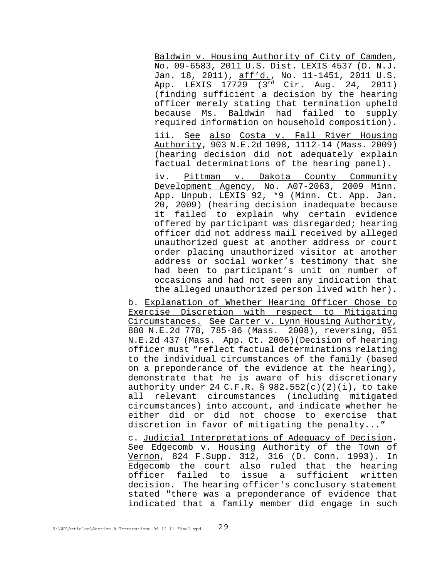Baldwin v. Housing Authority of City of Camden, No. 09-6583, 2011 U.S. Dist. LEXIS 4537 (D. N.J. Jan. 18, 2011), aff'd., No. 11-1451, 2011 U.S. App. LEXIS 17729 (3rd Cir. Aug. 24, 2011) (finding sufficient a decision by the hearing officer merely stating that termination upheld because Ms. Baldwin had failed to supply required information on household composition).

iii. See also Costa v. Fall River Housing Authority, 903 N.E.2d 1098, 1112-14 (Mass. 2009) (hearing decision did not adequately explain factual determinations of the hearing panel).

iv. Pittman v. Dakota County Community Development Agency, No. A07-2063, 2009 Minn. App. Unpub. LEXIS 92, \*9 (Minn. Ct. App. Jan. 20, 2009) (hearing decision inadequate because it failed to explain why certain evidence offered by participant was disregarded; hearing officer did not address mail received by alleged unauthorized guest at another address or court order placing unauthorized visitor at another address or social worker's testimony that she had been to participant's unit on number of occasions and had not seen any indication that the alleged unauthorized person lived with her).

b. Explanation of Whether Hearing Officer Chose to Exercise Discretion with respect to Mitigating Circumstances. See Carter v. Lynn Housing Authority, 880 N.E.2d 778, 785-86 (Mass. 2008), reversing, 851 N.E.2d 437 (Mass. App. Ct. 2006)(Decision of hearing officer must "reflect factual determinations relating to the individual circumstances of the family (based on a preponderance of the evidence at the hearing), demonstrate that he is aware of his discretionary authority under 24 C.F.R. § 982.552(c)(2)(i), to take all relevant circumstances (including mitigated circumstances) into account, and indicate whether he either did or did not choose to exercise that discretion in favor of mitigating the penalty..."

c. Judicial Interpretations of Adequacy of Decision. See Edgecomb v. Housing Authority of the Town of Vernon, 824 F.Supp. 312, 316 (D. Conn. 1993). In Edgecomb the court also ruled that the hearing officer failed to issue a sufficient written decision. The hearing officer's conclusory statement stated "there was a preponderance of evidence that indicated that a family member did engage in such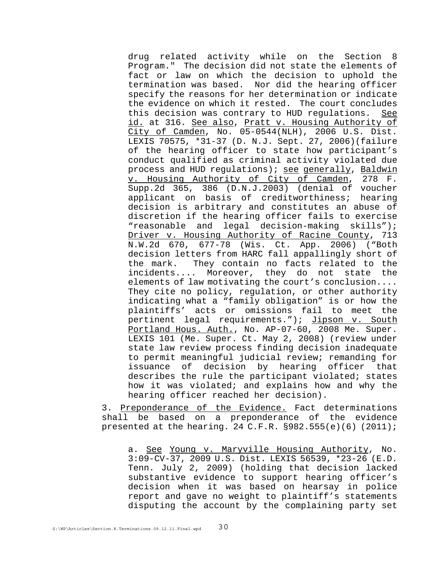drug related activity while on the Section 8 Program." The decision did not state the elements of fact or law on which the decision to uphold the termination was based. Nor did the hearing officer specify the reasons for her determination or indicate the evidence on which it rested. The court concludes this decision was contrary to HUD regulations. See id. at 316. See also, Pratt v. Housing Authority of City of Camden, No. 05-0544(NLH), 2006 U.S. Dist. LEXIS 70575, \*31-37 (D. N.J. Sept. 27, 2006)(failure of the hearing officer to state how participant's conduct qualified as criminal activity violated due process and HUD regulations); see generally, Baldwin v. Housing Authority of City of Camden, 278 F. Supp.2d 365, 386 (D.N.J.2003) (denial of voucher applicant on basis of creditworthiness; hearing decision is arbitrary and constitutes an abuse of discretion if the hearing officer fails to exercise "reasonable and legal decision-making skills"); Driver v. Housing Authority of Racine County, 713 N.W.2d 670, 677-78 (Wis. Ct. App. 2006) ("Both decision letters from HARC fall appallingly short of the mark. They contain no facts related to the incidents.... Moreover, they do not state the elements of law motivating the court's conclusion.... They cite no policy, regulation, or other authority indicating what a "family obligation" is or how the plaintiffs' acts or omissions fail to meet the pertinent legal requirements."); Jipson v. South Portland Hous. Auth., No. AP-07-60, 2008 Me. Super. LEXIS 101 (Me. Super. Ct. May 2, 2008) (review under state law review process finding decision inadequate to permit meaningful judicial review; remanding for issuance of decision by hearing officer that describes the rule the participant violated; states how it was violated; and explains how and why the hearing officer reached her decision).

3. Preponderance of the Evidence. Fact determinations shall be based on a preponderance of the evidence presented at the hearing. 24 C.F.R.  $§982.555(e)(6)$  (2011);

a. See Young v. Maryville Housing Authority, No. 3:09-CV-37, 2009 U.S. Dist. LEXIS 56539, \*23-26 (E.D. Tenn. July 2, 2009) (holding that decision lacked substantive evidence to support hearing officer's decision when it was based on hearsay in police report and gave no weight to plaintiff's statements disputing the account by the complaining party set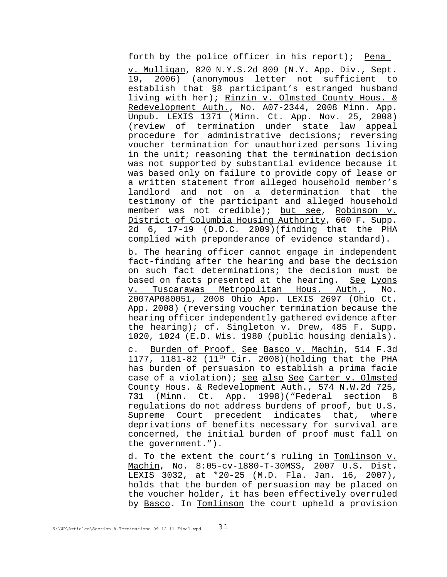forth by the police officer in his report); Pena

v. Mulligan, 820 N.Y.S.2d 809 (N.Y. App. Div., Sept. 19, 2006) (anonymous letter not sufficient to establish that §8 participant's estranged husband living with her); Rinzin v. Olmsted County Hous. & Redevelopment Auth., No. A07-2344, 2008 Minn. App. Unpub. LEXIS 1371 (Minn. Ct. App. Nov. 25, 2008) (review of termination under state law appeal procedure for administrative decisions; reversing voucher termination for unauthorized persons living in the unit; reasoning that the termination decision was not supported by substantial evidence because it was based only on failure to provide copy of lease or a written statement from alleged household member's landlord and not on a determination that the testimony of the participant and alleged household member was not credible); but see, Robinson v. District of Columbia Housing Authority, 660 F. Supp. 2d 6, 17-19 (D.D.C. 2009)(finding that the PHA complied with preponderance of evidence standard).

b. The hearing officer cannot engage in independent fact-finding after the hearing and base the decision on such fact determinations; the decision must be based on facts presented at the hearing. See Lyons v. Tuscarawas Metropolitan Hous. Auth., No. 2007AP080051, 2008 Ohio App. LEXIS 2697 (Ohio Ct. App. 2008) (reversing voucher termination because the hearing officer independently gathered evidence after the hearing); cf. Singleton v. Drew, 485 F. Supp. 1020, 1024 (E.D. Wis. 1980 (public housing denials).

c. Burden of Proof. See Basco v. Machin, 514 F.3d 1177, 1181-82 (11<sup>th</sup> Cir. 2008)(holding that the PHA has burden of persuasion to establish a prima facie case of a violation); see also See Carter v. Olmsted County Hous. & Redevelopment Auth., 574 N.W.2d 725, 731 (Minn. Ct. App. 1998)("Federal section 8 regulations do not address burdens of proof, but U.S. Supreme Court precedent indicates that, where deprivations of benefits necessary for survival are concerned, the initial burden of proof must fall on the government.").

d. To the extent the court's ruling in Tomlinson v. Machin, No. 8:05-cv-1880-T-30MSS, 2007 U.S. Dist. LEXIS 3032, at \*20-25 (M.D. Fla. Jan. 16, 2007), holds that the burden of persuasion may be placed on the voucher holder, it has been effectively overruled by Basco. In Tomlinson the court upheld a provision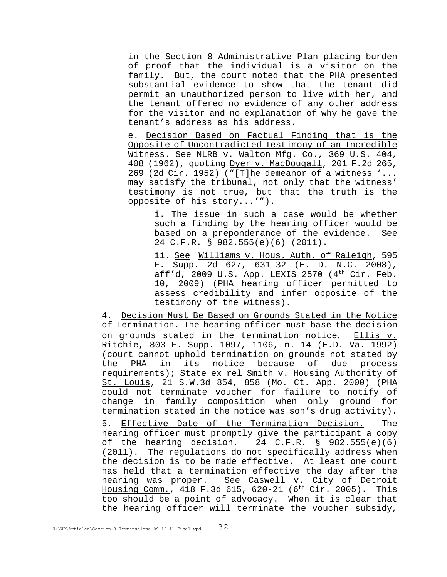in the Section 8 Administrative Plan placing burden of proof that the individual is a visitor on the family. But, the court noted that the PHA presented substantial evidence to show that the tenant did permit an unauthorized person to live with her, and the tenant offered no evidence of any other address for the visitor and no explanation of why he gave the tenant's address as his address.

e. Decision Based on Factual Finding that is the Opposite of Uncontradicted Testimony of an Incredible Witness. See NLRB v. Walton Mfg. Co., 369 U.S. 404, 408 (1962), quoting Dyer v. MacDougall, 201 F.2d 265, 269 (2d Cir. 1952) ("[T]he demeanor of a witness '... may satisfy the tribunal, not only that the witness' testimony is not true, but that the truth is the opposite of his story...'").

i. The issue in such a case would be whether such a finding by the hearing officer would be based on a preponderance of the evidence. See 24 C.F.R. § 982.555(e)(6) (2011).

ii. See Williams v. Hous. Auth. of Raleigh, 595 F. Supp. 2d 627, 631-32 (E. D. N.C. 2008), aff'd, 2009 U.S. App. LEXIS 2570  $(4<sup>th</sup> Cir. Feb.$ 10, 2009) (PHA hearing officer permitted to assess credibility and infer opposite of the testimony of the witness).

4. Decision Must Be Based on Grounds Stated in the Notice of Termination. The hearing officer must base the decision on grounds stated in the termination notice. Ellis v. Ritchie, 803 F. Supp. 1097, 1106, n. 14 (E.D. Va. 1992) (court cannot uphold termination on grounds not stated by the PHA in its notice because of due process requirements); State ex rel Smith v. Housing Authority of St. Louis, 21 S.W.3d 854, 858 (Mo. Ct. App. 2000) (PHA could not terminate voucher for failure to notify of change in family composition when only ground for termination stated in the notice was son's drug activity).

5. Effective Date of the Termination Decision. The hearing officer must promptly give the participant a copy of the hearing decision. 24 C.F.R. § 982.555(e)(6) (2011). The regulations do not specifically address when the decision is to be made effective. At least one court has held that a termination effective the day after the hearing was proper. See Caswell v. City of Detroit Housing Comm., 418 F.3d 615, 620-21 ( $6<sup>th</sup> Cir. 2005$ ). This too should be a point of advocacy. When it is clear that the hearing officer will terminate the voucher subsidy,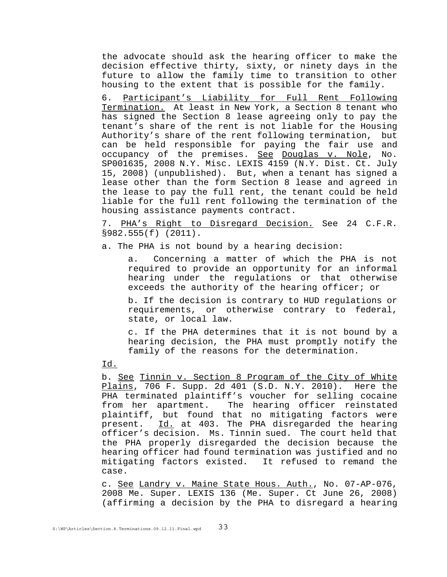the advocate should ask the hearing officer to make the decision effective thirty, sixty, or ninety days in the future to allow the family time to transition to other housing to the extent that is possible for the family.

6. Participant's Liability for Full Rent Following Termination. At least in New York, a Section 8 tenant who has signed the Section 8 lease agreeing only to pay the tenant's share of the rent is not liable for the Housing Authority's share of the rent following termination, but can be held responsible for paying the fair use and occupancy of the premises. See Douglas v. Nole, No. SP001635, 2008 N.Y. Misc. LEXIS 4159 (N.Y. Dist. Ct. July 15, 2008) (unpublished). But, when a tenant has signed a lease other than the form Section 8 lease and agreed in the lease to pay the full rent, the tenant could be held liable for the full rent following the termination of the housing assistance payments contract.

7. PHA's Right to Disregard Decision. See 24 C.F.R. §982.555(f) (2011).

a. The PHA is not bound by a hearing decision:

a. Concerning a matter of which the PHA is not required to provide an opportunity for an informal hearing under the regulations or that otherwise exceeds the authority of the hearing officer; or

b. If the decision is contrary to HUD regulations or requirements, or otherwise contrary to federal, state, or local law.

c. If the PHA determines that it is not bound by a hearing decision, the PHA must promptly notify the family of the reasons for the determination.

### Id.

b. See Tinnin v. Section 8 Program of the City of White Plains, 706 F. Supp. 2d 401 (S.D. N.Y. 2010). Here the PHA terminated plaintiff's voucher for selling cocaine from her apartment. The hearing officer reinstated plaintiff, but found that no mitigating factors were present. Id. at 403. The PHA disregarded the hearing officer's decision. Ms. Tinnin sued. The court held that the PHA properly disregarded the decision because the hearing officer had found termination was justified and no mitigating factors existed. It refused to remand the case.

c. See Landry v. Maine State Hous. Auth., No. 07-AP-076, 2008 Me. Super. LEXIS 136 (Me. Super. Ct June 26, 2008) (affirming a decision by the PHA to disregard a hearing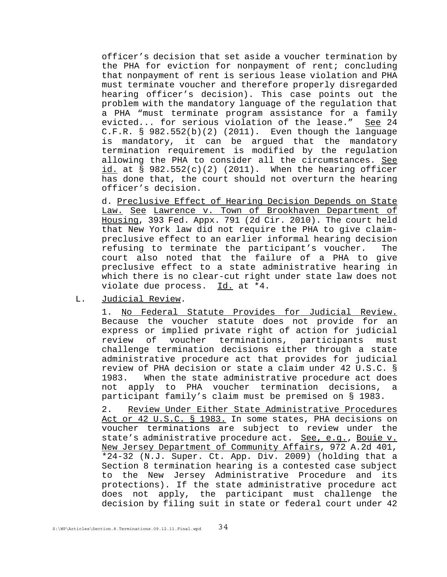officer's decision that set aside a voucher termination by the PHA for eviction for nonpayment of rent; concluding that nonpayment of rent is serious lease violation and PHA must terminate voucher and therefore properly disregarded hearing officer's decision). This case points out the problem with the mandatory language of the regulation that a PHA "must terminate program assistance for a family evicted... for serious violation of the lease." See 24  $C.F.R. \S 982.552(b)(2) (2011).$  Even though the language is mandatory, it can be argued that the mandatory termination requirement is modified by the regulation allowing the PHA to consider all the circumstances. See id. at  $\S$  982.552(c)(2) (2011). When the hearing officer has done that, the court should not overturn the hearing officer's decision.

d. Preclusive Effect of Hearing Decision Depends on State Law. See Lawrence v. Town of Brookhaven Department of Housing, 393 Fed. Appx. 791 (2d Cir. 2010). The court held that New York law did not require the PHA to give claimpreclusive effect to an earlier informal hearing decision refusing to terminate the participant's voucher. The court also noted that the failure of a PHA to give preclusive effect to a state administrative hearing in which there is no clear-cut right under state law does not violate due process. Id. at \*4.

L. Judicial Review.

1. No Federal Statute Provides for Judicial Review. Because the voucher statute does not provide for an express or implied private right of action for judicial review of voucher terminations, participants must challenge termination decisions either through a state administrative procedure act that provides for judicial review of PHA decision or state a claim under 42 U.S.C. § 1983. When the state administrative procedure act does not apply to PHA voucher termination decisions, a participant family's claim must be premised on § 1983.

2. Review Under Either State Administrative Procedures Act or 42 U.S.C. § 1983. In some states, PHA decisions on voucher terminations are subject to review under the state's administrative procedure act. See, e.g., Bouie v. New Jersey Department of Community Affairs, 972 A.2d 401, \*24-32 (N.J. Super. Ct. App. Div. 2009) (holding that a Section 8 termination hearing is a contested case subject to the New Jersey Administrative Procedure and its protections). If the state administrative procedure act does not apply, the participant must challenge the decision by filing suit in state or federal court under 42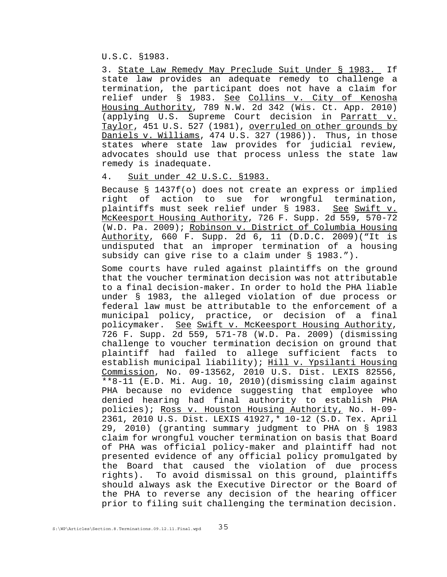U.S.C. §1983.

3. State Law Remedy May Preclude Suit Under § 1983. If state law provides an adequate remedy to challenge a termination, the participant does not have a claim for relief under § 1983. See Collins v. City of Kenosha Housing Authority, 789 N.W. 2d 342 (Wis. Ct. App. 2010) (applying U.S. Supreme Court decision in Parratt v. Taylor, 451 U.S. 527 (1981), overruled on other grounds by Daniels v. Williams, 474 U.S. 327 (1986)). Thus, in those states where state law provides for judicial review, advocates should use that process unless the state law remedy is inadequate.

4. Suit under 42 U.S.C. §1983.

Because § 1437f(o) does not create an express or implied right of action to sue for wrongful termination, plaintiffs must seek relief under § 1983. See Swift v. McKeesport Housing Authority, 726 F. Supp. 2d 559, 570-72 (W.D. Pa. 2009); Robinson v. District of Columbia Housing Authority, 660 F. Supp. 2d 6, 11 (D.D.C. 2009)("It is undisputed that an improper termination of a housing subsidy can give rise to a claim under § 1983.").

Some courts have ruled against plaintiffs on the ground that the voucher termination decision was not attributable to a final decision-maker. In order to hold the PHA liable under § 1983, the alleged violation of due process or federal law must be attributable to the enforcement of a municipal policy, practice, or decision of a final policymaker. See Swift v. McKeesport Housing Authority, 726 F. Supp. 2d 559, 571-78 (W.D. Pa. 2009) (dismissing challenge to voucher termination decision on ground that plaintiff had failed to allege sufficient facts to establish municipal liability); Hill v. Ypsilanti Housing Commission, No. 09-13562, 2010 U.S. Dist. LEXIS 82556, \*\*8-11 (E.D. Mi. Aug. 10, 2010)(dismissing claim against PHA because no evidence suggesting that employee who denied hearing had final authority to establish PHA policies); Ross v. Houston Housing Authority, No. H-09- 2361, 2010 U.S. Dist. LEXIS 41927,\* 10-12 (S.D. Tex. April 29, 2010) (granting summary judgment to PHA on § 1983 claim for wrongful voucher termination on basis that Board of PHA was official policy-maker and plaintiff had not presented evidence of any official policy promulgated by the Board that caused the violation of due process rights). To avoid dismissal on this ground, plaintiffs should always ask the Executive Director or the Board of the PHA to reverse any decision of the hearing officer prior to filing suit challenging the termination decision.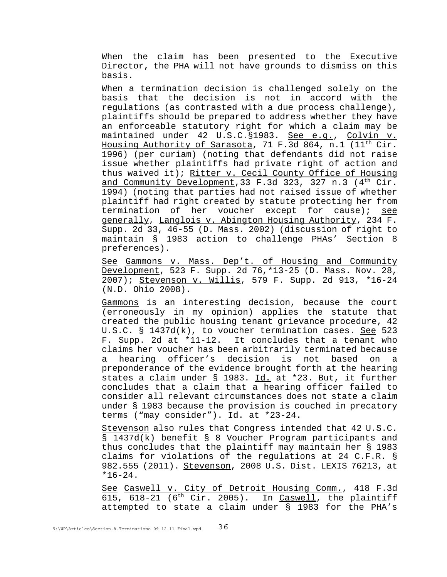When the claim has been presented to the Executive Director, the PHA will not have grounds to dismiss on this basis.

When a termination decision is challenged solely on the basis that the decision is not in accord with the regulations (as contrasted with a due process challenge), plaintiffs should be prepared to address whether they have an enforceable statutory right for which a claim may be maintained under 42 U.S.C. §1983. See e.g., Colvin v. Housing Authority of Sarasota, 71 F.3d 864, n.1 (11th Cir. 1996) (per curiam) (noting that defendants did not raise issue whether plaintiffs had private right of action and thus waived it); Ritter v. Cecil County Office of Housing and Community Development, 33 F.3d 323, 327 n.3  $(4<sup>th</sup> Cir.$ 1994) (noting that parties had not raised issue of whether plaintiff had right created by statute protecting her from termination of her voucher except for cause); see generally, Langlois v. Abington Housing Authority, 234 F. Supp. 2d 33, 46-55 (D. Mass. 2002) (discussion of right to maintain § 1983 action to challenge PHAs' Section 8 preferences).

See Gammons v. Mass. Dep't. of Housing and Community Development, 523 F. Supp. 2d 76,\*13-25 (D. Mass. Nov. 28, 2007); Stevenson v. Willis, 579 F. Supp. 2d 913, \*16-24 (N.D. Ohio 2008).

Gammons is an interesting decision, because the court (erroneously in my opinion) applies the statute that created the public housing tenant grievance procedure, 42 U.S.C. § 1437d(k), to voucher termination cases. See 523 F. Supp. 2d at \*11-12. It concludes that a tenant who claims her voucher has been arbitrarily terminated because a hearing officer's decision is not based on a preponderance of the evidence brought forth at the hearing states a claim under § 1983. Id. at \*23. But, it further concludes that a claim that a hearing officer failed to consider all relevant circumstances does not state a claim under § 1983 because the provision is couched in precatory terms ("may consider"). Id. at \*23-24.

Stevenson also rules that Congress intended that 42 U.S.C. § 1437d(k) benefit § 8 Voucher Program participants and thus concludes that the plaintiff may maintain her § 1983 claims for violations of the regulations at 24 C.F.R. § 982.555 (2011). Stevenson, 2008 U.S. Dist. LEXIS 76213, at \*16-24.

See Caswell v. City of Detroit Housing Comm., 418 F.3d 615, 618-21 ( $6<sup>th</sup>$  Cir. 2005). In Caswell, the plaintiff attempted to state a claim under § 1983 for the PHA's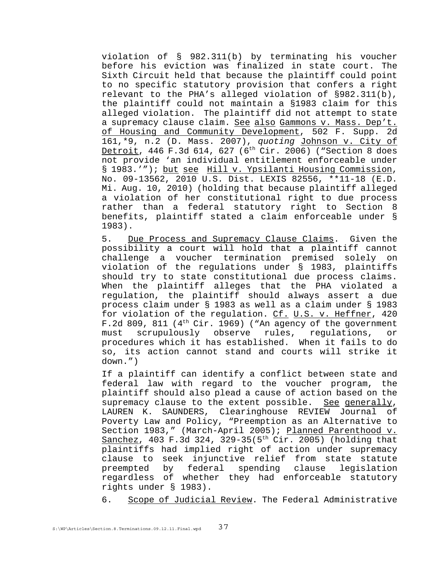violation of § 982.311(b) by terminating his voucher before his eviction was finalized in state court. The Sixth Circuit held that because the plaintiff could point to no specific statutory provision that confers a right relevant to the PHA's alleged violation of §982.311(b), the plaintiff could not maintain a §1983 claim for this alleged violation. The plaintiff did not attempt to state a supremacy clause claim. See also Gammons v. Mass. Dep't. of Housing and Community Development, 502 F. Supp. 2d 161,\*9, n.2 (D. Mass. 2007), *quoting* Johnson v. City of Detroit, 446 F.3d 614, 627 (6<sup>th</sup> Cir. 2006) ("Section 8 does not provide 'an individual entitlement enforceable under § 1983.'"); but see Hill v. Ypsilanti Housing Commission, No. 09-13562, 2010 U.S. Dist. LEXIS 82556, \*\*11-18 (E.D. Mi. Aug. 10, 2010) (holding that because plaintiff alleged a violation of her constitutional right to due process rather than a federal statutory right to Section 8 benefits, plaintiff stated a claim enforceable under § 1983).

5. Due Process and Supremacy Clause Claims. Given the possibility a court will hold that a plaintiff cannot challenge a voucher termination premised solely on violation of the regulations under § 1983, plaintiffs should try to state constitutional due process claims. When the plaintiff alleges that the PHA violated a regulation, the plaintiff should always assert a due process claim under § 1983 as well as a claim under § 1983 for violation of the regulation. Cf. U.S. v. Heffner, 420 F.2d 809, 811 ( $4<sup>th</sup> Cir. 1969$ ) ("An agency of the government must scrupulously observe rules, regulations, or procedures which it has established. When it fails to do so, its action cannot stand and courts will strike it down.")

If a plaintiff can identify a conflict between state and federal law with regard to the voucher program, the plaintiff should also plead a cause of action based on the supremacy clause to the extent possible. See generally, LAUREN K. SAUNDERS, Clearinghouse REVIEW Journal of Poverty Law and Policy, "Preemption as an Alternative to Section 1983," (March-April 2005); Planned Parenthood v. Sanchez, 403 F.3d 324, 329-35(5<sup>th</sup> Cir. 2005) (holding that plaintiffs had implied right of action under supremacy clause to seek injunctive relief from state statute preempted by federal spending clause legislation regardless of whether they had enforceable statutory rights under § 1983).

6. Scope of Judicial Review. The Federal Administrative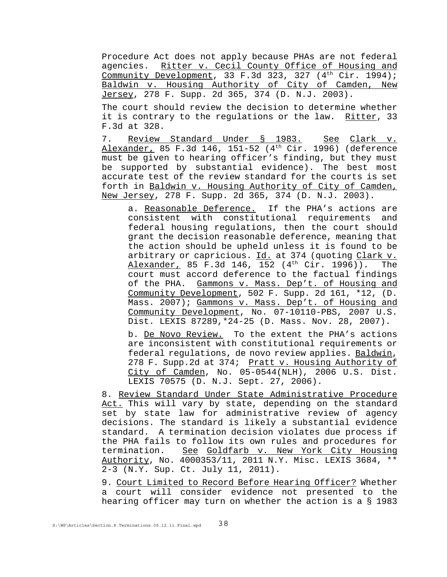Procedure Act does not apply because PHAs are not federal agencies. Ritter v. Cecil County Office of Housing and Community Development, 33 F.3d 323, 327  $(4<sup>th</sup> Cir. 1994)$ ; Baldwin v. Housing Authority of City of Camden, New Jersey, 278 F. Supp. 2d 365, 374 (D. N.J. 2003).

The court should review the decision to determine whether it is contrary to the regulations or the law. Ritter, 33 F.3d at 328.

7. Review Standard Under § 1983. See Clark v. Alexander, 85 F.3d 146, 151-52 ( $4<sup>th</sup>$  Cir. 1996) (deference must be given to hearing officer's finding, but they must be supported by substantial evidence). The best most accurate test of the review standard for the courts is set forth in Baldwin v. Housing Authority of City of Camden, New Jersey, 278 F. Supp. 2d 365, 374 (D. N.J. 2003).

a. Reasonable Deference. If the PHA's actions are consistent with constitutional requirements and federal housing regulations, then the court should grant the decision reasonable deference, meaning that the action should be upheld unless it is found to be arbitrary or capricious. Id. at 374 (quoting Clark v. Alexander, 85 F.3d 146, 152 (4<sup>th</sup> Cir. 1996)). The court must accord deference to the factual findings of the PHA. Gammons v. Mass. Dep't. of Housing and Community Development, 502 F. Supp. 2d 161, \*12, (D. Mass. 2007); Gammons v. Mass. Dep't. of Housing and Community Development, No. 07-10110-PBS, 2007 U.S. Dist. LEXIS 87289,\*24-25 (D. Mass. Nov. 28, 2007).

b. De Novo Review. To the extent the PHA's actions are inconsistent with constitutional requirements or federal regulations, de novo review applies. Baldwin, 278 F. Supp.2d at 374; Pratt v. Housing Authority of City of Camden, No. 05-0544(NLH), 2006 U.S. Dist. LEXIS 70575 (D. N.J. Sept. 27, 2006).

8. Review Standard Under State Administrative Procedure Act. This will vary by state, depending on the standard set by state law for administrative review of agency decisions. The standard is likely a substantial evidence standard. A termination decision violates due process if the PHA fails to follow its own rules and procedures for termination. See Goldfarb v. New York City Housing Authority, No. 4000353/11, 2011 N.Y. Misc. LEXIS 3684, \*\* 2-3 (N.Y. Sup. Ct. July 11, 2011).

9. Court Limited to Record Before Hearing Officer? Whether a court will consider evidence not presented to the hearing officer may turn on whether the action is a § 1983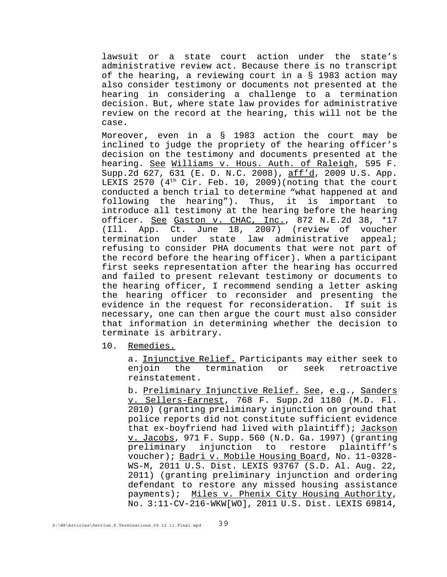lawsuit or a state court action under the state's administrative review act. Because there is no transcript of the hearing, a reviewing court in a § 1983 action may also consider testimony or documents not presented at the hearing in considering a challenge to a termination decision. But, where state law provides for administrative review on the record at the hearing, this will not be the case.

Moreover, even in a § 1983 action the court may be inclined to judge the propriety of the hearing officer's decision on the testimony and documents presented at the hearing. See Williams v. Hous. Auth. of Raleigh, 595 F. Supp.2d 627, 631 (E. D. N.C. 2008), aff'd, 2009 U.S. App. LEXIS 2570 (4<sup>th</sup> Cir. Feb. 10, 2009) (noting that the court conducted a bench trial to determine "what happened at and following the hearing"). Thus, it is important to introduce all testimony at the hearing before the hearing officer. See Gaston v. CHAC, Inc., 872 N.E.2d 38, \*17 (Ill. App. Ct. June 18, 2007) (review of voucher termination under state law administrative appeal; refusing to consider PHA documents that were not part of the record before the hearing officer). When a participant first seeks representation after the hearing has occurred and failed to present relevant testimony or documents to the hearing officer, I recommend sending a letter asking the hearing officer to reconsider and presenting the evidence in the request for reconsideration. If suit is necessary, one can then argue the court must also consider that information in determining whether the decision to terminate is arbitrary.

10. Remedies.

a. Injunctive Relief. Participants may either seek to enjoin the termination or seek retroactive reinstatement.

b. Preliminary Injunctive Relief. See, e.g., Sanders v. Sellers-Earnest, 768 F. Supp.2d 1180 (M.D. Fl. 2010) (granting preliminary injunction on ground that police reports did not constitute sufficient evidence that ex-boyfriend had lived with plaintiff); Jackson v. Jacobs, 971 F. Supp. 560 (N.D. Ga. 1997) (granting preliminary injunction to restore plaintiff's voucher); Badri v. Mobile Housing Board, No. 11-0328- WS-M, 2011 U.S. Dist. LEXIS 93767 (S.D. Al. Aug. 22, 2011) (granting preliminary injunction and ordering defendant to restore any missed housing assistance payments); Miles v. Phenix City Housing Authority, No. 3:11-CV-216-WKW[WO], 2011 U.S. Dist. LEXIS 69814,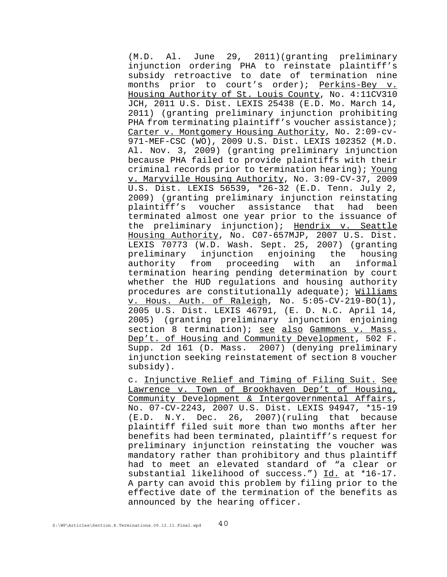(M.D. Al. June 29, 2011)(granting preliminary injunction ordering PHA to reinstate plaintiff's subsidy retroactive to date of termination nine months prior to court's order); Perkins-Bey v. Housing Authority of St. Louis County, No. 4:11CV310 JCH, 2011 U.S. Dist. LEXIS 25438 (E.D. Mo. March 14, 2011) (granting preliminary injunction prohibiting PHA from terminating plaintiff's voucher assistance); Carter v. Montgomery Housing Authority, No. 2:09-cv-971-MEF-CSC (WO), 2009 U.S. Dist. LEXIS 102352 (M.D. Al. Nov. 3, 2009) (granting preliminary injunction because PHA failed to provide plaintiffs with their criminal records prior to termination hearing); Young v. Maryville Housing Authority, No. 3:09-CV-37, 2009 U.S. Dist. LEXIS 56539, \*26-32 (E.D. Tenn. July 2, 2009) (granting preliminary injunction reinstating plaintiff's voucher assistance that had been terminated almost one year prior to the issuance of the preliminary injunction); Hendrix v. Seattle Housing Authority, No. C07-657MJP, 2007 U.S. Dist. LEXIS 70773 (W.D. Wash. Sept. 25, 2007) (granting preliminary injunction enjoining the housing authority from proceeding with an informal termination hearing pending determination by court whether the HUD regulations and housing authority procedures are constitutionally adequate); Williams v. Hous. Auth. of Raleigh, No. 5:05-CV-219-BO(1), 2005 U.S. Dist. LEXIS 46791, (E. D. N.C. April 14, 2005) (granting preliminary injunction enjoining section 8 termination); see also Gammons v. Mass. Dep't. of Housing and Community Development, 502 F. Supp. 2d 161 (D. Mass. 2007) (denying preliminary injunction seeking reinstatement of section 8 voucher subsidy).

c. Injunctive Relief and Timing of Filing Suit. See Lawrence v. Town of Brookhaven Dep't of Housing, Community Development & Intergovernmental Affairs, No. 07-CV-2243, 2007 U.S. Dist. LEXIS 94947, \*15-19 (E.D. N.Y. Dec. 26, 2007)(ruling that because plaintiff filed suit more than two months after her benefits had been terminated, plaintiff's request for preliminary injunction reinstating the voucher was mandatory rather than prohibitory and thus plaintiff had to meet an elevated standard of "a clear or substantial likelihood of success.") Id. at \*16-17. A party can avoid this problem by filing prior to the effective date of the termination of the benefits as announced by the hearing officer.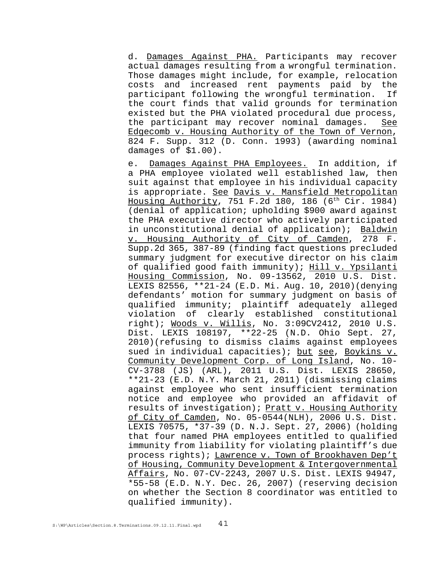d. Damages Against PHA. Participants may recover actual damages resulting from a wrongful termination. Those damages might include, for example, relocation costs and increased rent payments paid by the participant following the wrongful termination. If the court finds that valid grounds for termination existed but the PHA violated procedural due process, the participant may recover nominal damages. See Edgecomb v. Housing Authority of the Town of Vernon, 824 F. Supp. 312 (D. Conn. 1993) (awarding nominal damages of \$1.00).

e. Damages Against PHA Employees. In addition, if a PHA employee violated well established law, then suit against that employee in his individual capacity is appropriate. See Davis v. Mansfield Metropolitan Housing Authority, 751 F.2d 180, 186  $(6<sup>th</sup> Cir. 1984)$ (denial of application; upholding \$900 award against the PHA executive director who actively participated in unconstitutional denial of application); Baldwin v. Housing Authority of City of Camden, 278 F. Supp.2d 365, 387-89 (finding fact questions precluded summary judgment for executive director on his claim of qualified good faith immunity); Hill v. Ypsilanti Housing Commission, No. 09-13562, 2010 U.S. Dist. LEXIS 82556, \*\*21-24 (E.D. Mi. Aug. 10, 2010)(denying defendants' motion for summary judgment on basis of qualified immunity; plaintiff adequately alleged violation of clearly established constitutional right); Woods v. Willis, No. 3:09CV2412, 2010 U.S. Dist. LEXIS 108197, \*\*22-25 (N.D. Ohio Sept. 27, 2010)(refusing to dismiss claims against employees sued in individual capacities); but see, Boykins v. Community Development Corp. of Long Island, No. 10- CV-3788 (JS) (ARL), 2011 U.S. Dist. LEXIS 28650, \*\*21-23 (E.D. N.Y. March 21, 2011) (dismissing claims against employee who sent insufficient termination notice and employee who provided an affidavit of results of investigation); Pratt v. Housing Authority of City of Camden, No. 05-0544(NLH), 2006 U.S. Dist. LEXIS 70575, \*37-39 (D. N.J. Sept. 27, 2006) (holding that four named PHA employees entitled to qualified immunity from liability for violating plaintiff's due process rights); Lawrence v. Town of Brookhaven Dep't of Housing, Community Development & Intergovernmental Affairs, No. 07-CV-2243, 2007 U.S. Dist. LEXIS 94947, \*55-58 (E.D. N.Y. Dec. 26, 2007) (reserving decision on whether the Section 8 coordinator was entitled to qualified immunity).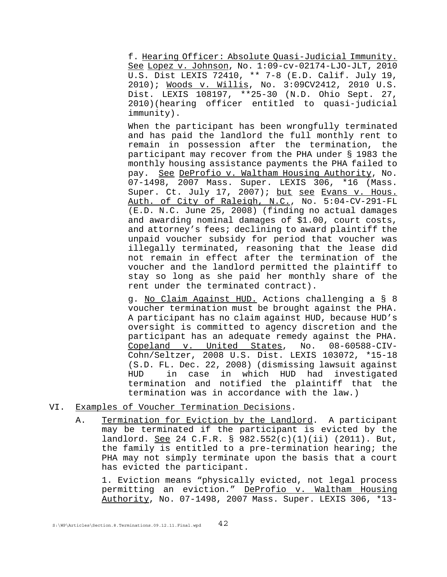f. Hearing Officer: Absolute Quasi-Judicial Immunity. See Lopez v. Johnson, No. 1:09-cv-02174-LJO-JLT, 2010 U.S. Dist LEXIS 72410, \*\* 7-8 (E.D. Calif. July 19, 2010); Woods v. Willis, No. 3:09CV2412, 2010 U.S. Dist. LEXIS 108197, \*\*25-30 (N.D. Ohio Sept. 27, 2010)(hearing officer entitled to quasi-judicial immunity).

When the participant has been wrongfully terminated and has paid the landlord the full monthly rent to remain in possession after the termination, the participant may recover from the PHA under § 1983 the monthly housing assistance payments the PHA failed to pay. See DeProfio v. Waltham Housing Authority, No. 07-1498, 2007 Mass. Super. LEXIS 306, \*16 (Mass. super. Ct. July 17, 2007); but see Evans v. Hous. Auth. of City of Raleigh, N.C., No. 5:04-CV-291-FL (E.D. N.C. June 25, 2008) (finding no actual damages and awarding nominal damages of \$1.00, court costs, and attorney's fees; declining to award plaintiff the unpaid voucher subsidy for period that voucher was illegally terminated, reasoning that the lease did not remain in effect after the termination of the voucher and the landlord permitted the plaintiff to stay so long as she paid her monthly share of the rent under the terminated contract).

g. No Claim Against HUD. Actions challenging a § 8 voucher termination must be brought against the PHA. A participant has no claim against HUD, because HUD's oversight is committed to agency discretion and the participant has an adequate remedy against the PHA. Copeland v. United States, No. 08-60588-CIV-Cohn/Seltzer, 2008 U.S. Dist. LEXIS 103072, \*15-18 (S.D. FL. Dec. 22, 2008) (dismissing lawsuit against HUD in case in which HUD had investigated termination and notified the plaintiff that the termination was in accordance with the law.)

- VI. Examples of Voucher Termination Decisions.
	- A. Termination for Eviction by the Landlord. A participant may be terminated if the participant is evicted by the landlord. See 24 C.F.R. § 982.552(c)(1)(ii) (2011). But, the family is entitled to a pre-termination hearing; the PHA may not simply terminate upon the basis that a court has evicted the participant.

1. Eviction means "physically evicted, not legal process permitting an eviction." DeProfio v. Waltham Housing Authority, No. 07-1498, 2007 Mass. Super. LEXIS 306, \*13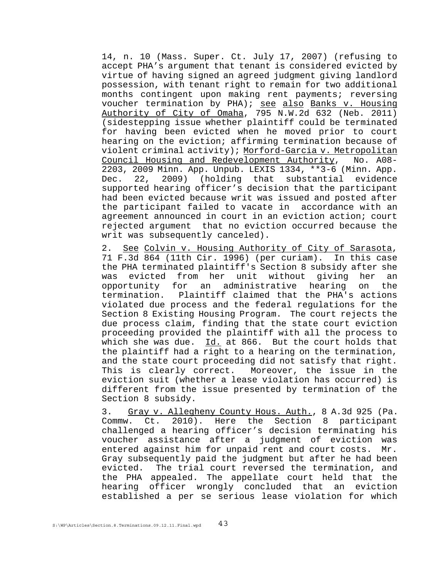14, n. 10 (Mass. Super. Ct. July 17, 2007) (refusing to accept PHA's argument that tenant is considered evicted by virtue of having signed an agreed judgment giving landlord possession, with tenant right to remain for two additional months contingent upon making rent payments; reversing voucher termination by PHA); see also Banks v. Housing Authority of City of Omaha, 795 N.W.2d 632 (Neb. 2011) (sidestepping issue whether plaintiff could be terminated for having been evicted when he moved prior to court hearing on the eviction; affirming termination because of violent criminal activity); Morford-Garcia v. Metropolitan Council Housing and Redevelopment Authority, No. A08- 2203, 2009 Minn. App. Unpub. LEXIS 1334, \*\*3-6 (Minn. App. Dec. 22, 2009) (holding that substantial evidence supported hearing officer's decision that the participant had been evicted because writ was issued and posted after the participant failed to vacate in accordance with an agreement announced in court in an eviction action; court rejected argument that no eviction occurred because the writ was subsequently canceled).

2. See Colvin v. Housing Authority of City of Sarasota, 71 F.3d 864 (11th Cir. 1996) (per curiam). In this case the PHA terminated plaintiff's Section 8 subsidy after she was evicted from her unit without giving her an opportunity for an administrative hearing on the termination. Plaintiff claimed that the PHA's actions violated due process and the federal regulations for the Section 8 Existing Housing Program. The court rejects the due process claim, finding that the state court eviction proceeding provided the plaintiff with all the process to which she was due. Id. at 866. But the court holds that the plaintiff had a right to a hearing on the termination, and the state court proceeding did not satisfy that right. This is clearly correct. Moreover, the issue in the eviction suit (whether a lease violation has occurred) is different from the issue presented by termination of the Section 8 subsidy.

3. Gray v. Allegheny County Hous. Auth., 8 A.3d 925 (Pa. Commw. Ct. 2010). Here the Section 8 participant challenged a hearing officer's decision terminating his voucher assistance after a judgment of eviction was entered against him for unpaid rent and court costs. Mr. Gray subsequently paid the judgment but after he had been evicted. The trial court reversed the termination, and the PHA appealed. The appellate court held that the hearing officer wrongly concluded that an eviction established a per se serious lease violation for which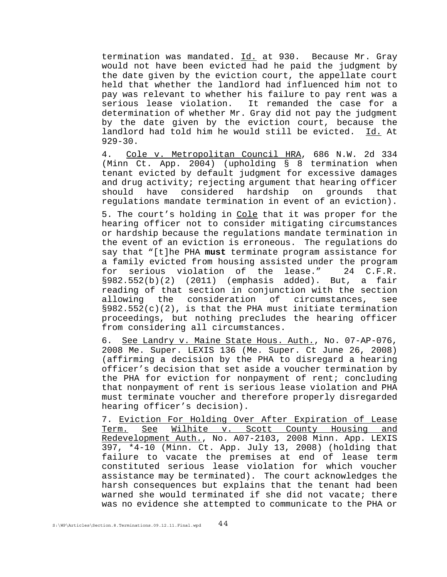termination was mandated. Id. at 930. Because Mr. Gray would not have been evicted had he paid the judgment by the date given by the eviction court, the appellate court held that whether the landlord had influenced him not to pay was relevant to whether his failure to pay rent was a serious lease violation. It remanded the case for a determination of whether Mr. Gray did not pay the judgment by the date given by the eviction court, because the landlord had told him he would still be evicted. Id. At 929-30.

4. Cole v. Metropolitan Council HRA, 686 N.W. 2d 334 (Minn Ct. App. 2004) (upholding § 8 termination when tenant evicted by default judgment for excessive damages and drug activity; rejecting argument that hearing officer should have considered hardship on grounds that regulations mandate termination in event of an eviction).

5. The court's holding in Cole that it was proper for the hearing officer not to consider mitigating circumstances or hardship because the regulations mandate termination in the event of an eviction is erroneous. The regulations do say that "[t]he PHA **must** terminate program assistance for a family evicted from housing assisted under the program for serious violation of the lease." 24 C.F.R. §982.552(b)(2) (2011) (emphasis added). But, a fair reading of that section in conjunction with the section allowing the consideration of circumstances, see §982.552(c)(2), is that the PHA must initiate termination proceedings, but nothing precludes the hearing officer from considering all circumstances.

6. See Landry v. Maine State Hous. Auth., No. 07-AP-076, 2008 Me. Super. LEXIS 136 (Me. Super. Ct June 26, 2008) (affirming a decision by the PHA to disregard a hearing officer's decision that set aside a voucher termination by the PHA for eviction for nonpayment of rent; concluding that nonpayment of rent is serious lease violation and PHA must terminate voucher and therefore properly disregarded hearing officer's decision).

7. Eviction For Holding Over After Expiration of Lease Term. See Wilhite v. Scott County Housing and Redevelopment Auth., No. A07-2103, 2008 Minn. App. LEXIS 397, \*4-10 (Minn. Ct. App. July 13, 2008) (holding that failure to vacate the premises at end of lease term constituted serious lease violation for which voucher assistance may be terminated). The court acknowledges the harsh consequences but explains that the tenant had been warned she would terminated if she did not vacate; there was no evidence she attempted to communicate to the PHA or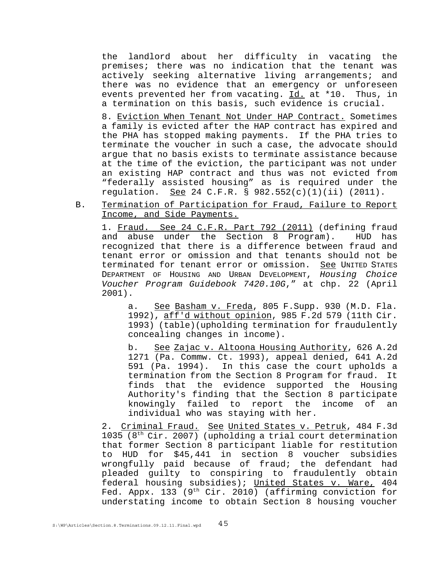the landlord about her difficulty in vacating the premises; there was no indication that the tenant was actively seeking alternative living arrangements; and there was no evidence that an emergency or unforeseen events prevented her from vacating. Id. at \*10. Thus, in a termination on this basis, such evidence is crucial.

8. Eviction When Tenant Not Under HAP Contract. Sometimes a family is evicted after the HAP contract has expired and the PHA has stopped making payments. If the PHA tries to terminate the voucher in such a case, the advocate should argue that no basis exists to terminate assistance because at the time of the eviction, the participant was not under an existing HAP contract and thus was not evicted from "federally assisted housing" as is required under the regulation. See 24 C.F.R. § 982.552(c)(1)(ii) (2011).

B. Termination of Participation for Fraud, Failure to Report Income, and Side Payments.

1. Fraud. See 24 C.F.R. Part 792 (2011) (defining fraud and abuse under the Section 8 Program). HUD has recognized that there is a difference between fraud and tenant error or omission and that tenants should not be terminated for tenant error or omission. See UNITED STATES DEPARTMENT OF HOUSING AND URBAN DEVELOPMENT, *Housing Choice Voucher Program Guidebook 7420.10G*," at chp. 22 (April 2001).

a. See Basham v. Freda, 805 F. Supp. 930 (M.D. Fla. 1992), aff'd without opinion, 985 F.2d 579 (11th Cir. 1993) (table)(upholding termination for fraudulently concealing changes in income).

b. See Zajac v. Altoona Housing Authority, 626 A.2d 1271 (Pa. Commw. Ct. 1993), appeal denied, 641 A.2d 591 (Pa. 1994). In this case the court upholds a termination from the Section 8 Program for fraud. It finds that the evidence supported the Housing Authority's finding that the Section 8 participate knowingly failed to report the income of an individual who was staying with her.

2. Criminal Fraud. See United States v. Petruk, 484 F.3d 1035 ( $8<sup>th</sup> Cir. 2007$ ) (upholding a trial court determination that former Section 8 participant liable for restitution to HUD for \$45,441 in section 8 voucher subsidies wrongfully paid because of fraud; the defendant had pleaded guilty to conspiring to fraudulently obtain federal housing subsidies); United States v. Ware, 404 Fed. Appx. 133 (9<sup>th</sup> Cir. 2010) (affirming conviction for understating income to obtain Section 8 housing voucher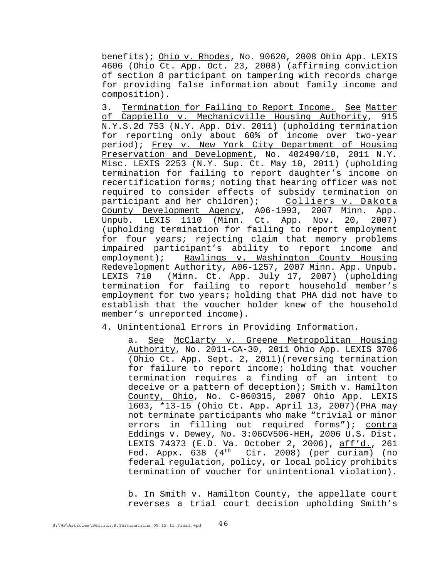benefits); Ohio v. Rhodes, No. 90620, 2008 Ohio App. LEXIS 4606 (Ohio Ct. App. Oct. 23, 2008) (affirming conviction of section 8 participant on tampering with records charge for providing false information about family income and composition).

3. Termination for Failing to Report Income. See Matter of Cappiello v. Mechanicville Housing Authority, 915 N.Y.S.2d 753 (N.Y. App. Div. 2011) (upholding termination for reporting only about 60% of income over two-year period); Frey v. New York City Department of Housing Preservation and Development, No. 402490/10, 2011 N.Y. Misc. LEXIS 2253 (N.Y. Sup. Ct. May 10, 2011) (upholding termination for failing to report daughter's income on recertification forms; noting that hearing officer was not required to consider effects of subsidy termination on<br>participant and her children); Colliers v. Dakota participant and her children); County Development Agency, A06-1993, 2007 Minn. App. Unpub. LEXIS 1110 (Minn. Ct. App. Nov. 20, 2007) (upholding termination for failing to report employment for four years; rejecting claim that memory problems impaired participant's ability to report income and employment); Rawlings v. Washington County Housing Redevelopment Authority, A06-1257, 2007 Minn. App. Unpub. LEXIS 710 (Minn. Ct. App. July 17, 2007) (upholding termination for failing to report household member's employment for two years; holding that PHA did not have to establish that the voucher holder knew of the household member's unreported income).

#### 4. Unintentional Errors in Providing Information.

a. See McClarty v. Greene Metropolitan Housing Authority, No. 2011-CA-30, 2011 Ohio App. LEXIS 3706 (Ohio Ct. App. Sept. 2, 2011)(reversing termination for failure to report income; holding that voucher termination requires a finding of an intent to deceive or a pattern of deception); Smith v. Hamilton County, Ohio, No. C-060315, 2007 Ohio App. LEXIS 1603, \*13-15 (Ohio Ct. App. April 13, 2007)(PHA may not terminate participants who make "trivial or minor errors in filling out required forms"); contra Eddings v. Dewey, No. 3:06CV506-HEH, 2006 U.S. Dist. LEXIS 74373 (E.D. Va. October 2, 2006), aff'd., 261 Fed. Appx.  $638$  ( $4<sup>th</sup>$  Cir. 2008) (per curiam) (no federal regulation, policy, or local policy prohibits termination of voucher for unintentional violation).

b. In Smith v. Hamilton County, the appellate court reverses a trial court decision upholding Smith's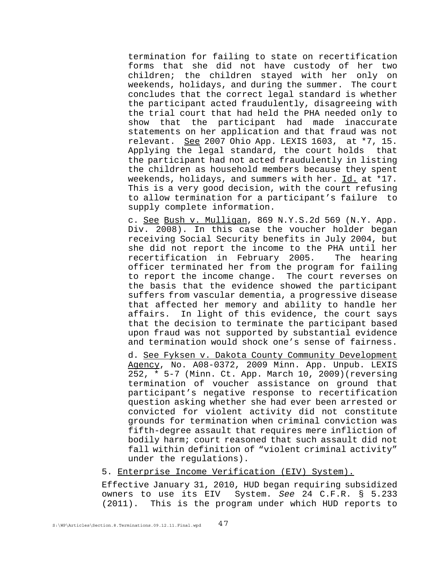termination for failing to state on recertification forms that she did not have custody of her two children; the children stayed with her only on weekends, holidays, and during the summer. The court concludes that the correct legal standard is whether the participant acted fraudulently, disagreeing with the trial court that had held the PHA needed only to show that the participant had made inaccurate statements on her application and that fraud was not relevant. See 2007 Ohio App. LEXIS 1603, at \*7, 15. Applying the legal standard, the court holds that the participant had not acted fraudulently in listing the children as household members because they spent weekends, holidays, and summers with her. Id. at \*17. This is a very good decision, with the court refusing to allow termination for a participant's failure to supply complete information.

c. See Bush v. Mulligan, 869 N.Y.S.2d 569 (N.Y. App. Div. 2008). In this case the voucher holder began receiving Social Security benefits in July 2004, but she did not report the income to the PHA until her recertification in February 2005. The hearing officer terminated her from the program for failing to report the income change. The court reverses on the basis that the evidence showed the participant suffers from vascular dementia, a progressive disease that affected her memory and ability to handle her affairs. In light of this evidence, the court says that the decision to terminate the participant based upon fraud was not supported by substantial evidence and termination would shock one's sense of fairness.

d. See Fyksen v. Dakota County Community Development Agency, No. A08-0372, 2009 Minn. App. Unpub. LEXIS 252, \* 5-7 (Minn. Ct. App. March 10, 2009)(reversing termination of voucher assistance on ground that participant's negative response to recertification question asking whether she had ever been arrested or convicted for violent activity did not constitute grounds for termination when criminal conviction was fifth-degree assault that requires mere infliction of bodily harm; court reasoned that such assault did not fall within definition of "violent criminal activity" under the regulations).

## 5. Enterprise Income Verification (EIV) System).

Effective January 31, 2010, HUD began requiring subsidized owners to use its EIV System. *See* 24 C.F.R. § 5.233 (2011). This is the program under which HUD reports to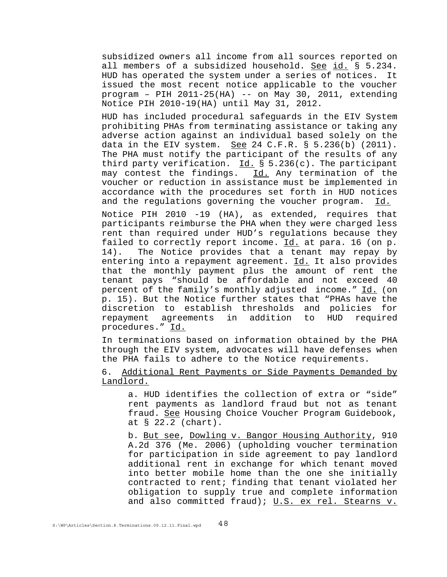subsidized owners all income from all sources reported on all members of a subsidized household. See id. § 5.234. HUD has operated the system under a series of notices. It issued the most recent notice applicable to the voucher program – PIH 2011-25(HA) -- on May 30, 2011, extending Notice PIH 2010-19(HA) until May 31, 2012.

HUD has included procedural safeguards in the EIV System prohibiting PHAs from terminating assistance or taking any adverse action against an individual based solely on the data in the EIV system. See 24 C.F.R.  $\S$  5.236(b) (2011). The PHA must notify the participant of the results of any third party verification.  $\underline{Id.}$  § 5.236(c). The participant may contest the findings. Id. Any termination of the voucher or reduction in assistance must be implemented in accordance with the procedures set forth in HUD notices and the regulations governing the voucher program. Id.

Notice PIH 2010 -19 (HA), as extended, requires that participants reimburse the PHA when they were charged less rent than required under HUD's regulations because they failed to correctly report income. Id. at para. 16 (on p. 14). The Notice provides that a tenant may repay by entering into a repayment agreement. Id. It also provides that the monthly payment plus the amount of rent the tenant pays "should be affordable and not exceed 40 percent of the family's monthly adjusted income." Id. (on p. 15). But the Notice further states that "PHAs have the discretion to establish thresholds and policies for repayment agreements in addition to HUD required procedures." Id.

In terminations based on information obtained by the PHA through the EIV system, advocates will have defenses when the PHA fails to adhere to the Notice requirements.

6. Additional Rent Payments or Side Payments Demanded by Landlord.

a. HUD identifies the collection of extra or "side" rent payments as landlord fraud but not as tenant fraud. See Housing Choice Voucher Program Guidebook, at § 22.2 (chart).

b. But see, Dowling v. Bangor Housing Authority, 910 A.2d 376 (Me. 2006) (upholding voucher termination for participation in side agreement to pay landlord additional rent in exchange for which tenant moved into better mobile home than the one she initially contracted to rent; finding that tenant violated her obligation to supply true and complete information and also committed fraud); U.S. ex rel. Stearns v.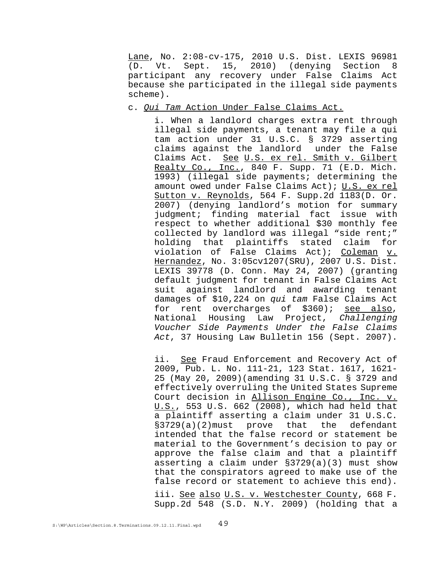Lane, No. 2:08-cv-175, 2010 U.S. Dist. LEXIS 96981 (D. Vt. Sept. 15, 2010) (denying Section 8 participant any recovery under False Claims Act because she participated in the illegal side payments scheme).

### c. *Qui Tam* Action Under False Claims Act.

i. When a landlord charges extra rent through illegal side payments, a tenant may file a qui tam action under 31 U.S.C. § 3729 asserting claims against the landlord under the False Claims Act. See U.S. ex rel. Smith v. Gilbert Realty Co., Inc., 840 F. Supp. 71 (E.D. Mich. 1993) (illegal side payments; determining the amount owed under False Claims Act); U.S. ex rel Sutton v. Reynolds, 564 F. Supp.2d 1183(D. Or. 2007) (denying landlord's motion for summary judgment; finding material fact issue with respect to whether additional \$30 monthly fee collected by landlord was illegal "side rent;" holding that plaintiffs stated claim for violation of False Claims Act); Coleman v. Hernandez, No. 3:05cv1207(SRU), 2007 U.S. Dist. LEXIS 39778 (D. Conn. May 24, 2007) (granting default judgment for tenant in False Claims Act suit against landlord and awarding tenant damages of \$10,224 on *qui tam* False Claims Act for rent overcharges of \$360); see also, National Housing Law Project, *Challenging Voucher Side Payments Under the False Claims Act*, 37 Housing Law Bulletin 156 (Sept. 2007).

ii. See Fraud Enforcement and Recovery Act of 2009, Pub. L. No. 111-21, 123 Stat. 1617, 1621- 25 (May 20, 2009)(amending 31 U.S.C. § 3729 and effectively overruling the United States Supreme Court decision in Allison Engine Co., Inc. v. U.S., 553 U.S. 662 (2008), which had held that a plaintiff asserting a claim under 31 U.S.C. §3729(a)(2)must prove that the defendant intended that the false record or statement be material to the Government's decision to pay or approve the false claim and that a plaintiff asserting a claim under §3729(a)(3) must show that the conspirators agreed to make use of the false record or statement to achieve this end). iii. See also U.S. v. Westchester County, 668 F. Supp.2d 548 (S.D. N.Y. 2009) (holding that a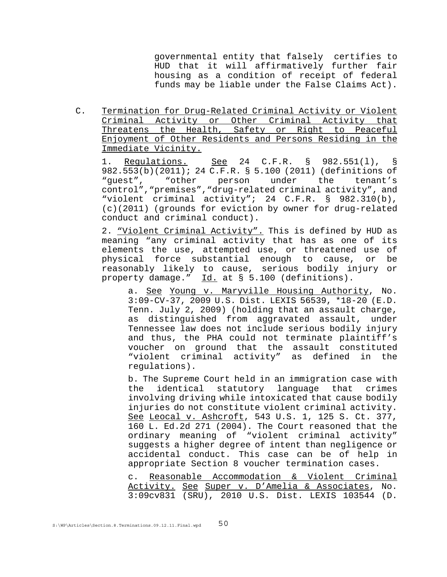governmental entity that falsely certifies to HUD that it will affirmatively further fair housing as a condition of receipt of federal funds may be liable under the False Claims Act).

C. Termination for Drug-Related Criminal Activity or Violent Criminal Activity or Other Criminal Activity that Threatens the Health, Safety or Right to Peaceful Enjoyment of Other Residents and Persons Residing in the Immediate Vicinity.

1. Regulations. See 24 C.F.R. § 982.551(1), § 982.553(b)(2011); 24 C.F.R. § 5.100 (2011) (definitions of "guest", "other person under the tenant's control","premises","drug-related criminal activity", and "violent criminal activity"; 24 C.F.R. § 982.310(b), (c)(2011) (grounds for eviction by owner for drug-related conduct and criminal conduct).

2. "Violent Criminal Activity". This is defined by HUD as meaning "any criminal activity that has as one of its elements the use, attempted use, or threatened use of physical force substantial enough to cause, or be reasonably likely to cause, serious bodily injury or property damage." Id. at § 5.100 (definitions).

a. See Young v. Maryville Housing Authority, No. 3:09-CV-37, 2009 U.S. Dist. LEXIS 56539, \*18-20 (E.D. Tenn. July 2, 2009) (holding that an assault charge, as distinguished from aggravated assault, under Tennessee law does not include serious bodily injury and thus, the PHA could not terminate plaintiff's voucher on ground that the assault constituted "violent criminal activity" as defined in the regulations).

b. The Supreme Court held in an immigration case with the identical statutory language that crimes involving driving while intoxicated that cause bodily injuries do not constitute violent criminal activity. See Leocal v. Ashcroft, 543 U.S. 1, 125 S. Ct. 377, 160 L. Ed.2d 271 (2004). The Court reasoned that the ordinary meaning of "violent criminal activity" suggests a higher degree of intent than negligence or accidental conduct. This case can be of help in appropriate Section 8 voucher termination cases.

c. Reasonable Accommodation & Violent Criminal Activity. See Super v. D'Amelia & Associates, No. 3:09cv831 (SRU), 2010 U.S. Dist. LEXIS 103544 (D.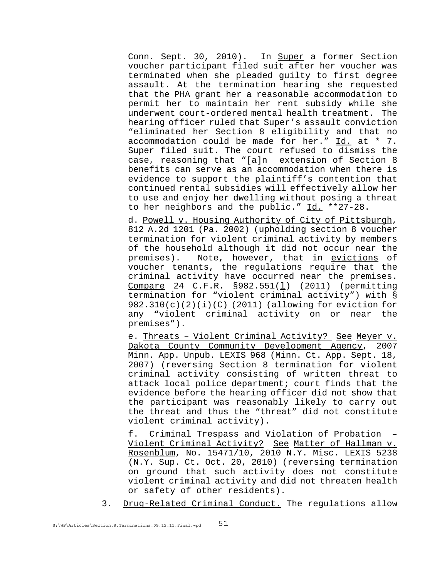Conn. Sept. 30, 2010). In Super a former Section voucher participant filed suit after her voucher was terminated when she pleaded guilty to first degree assault. At the termination hearing she requested that the PHA grant her a reasonable accommodation to permit her to maintain her rent subsidy while she underwent court-ordered mental health treatment. The hearing officer ruled that Super's assault conviction "eliminated her Section 8 eligibility and that no accommodation could be made for her." Id. at \* 7. Super filed suit. The court refused to dismiss the case, reasoning that "[a]n extension of Section 8 benefits can serve as an accommodation when there is evidence to support the plaintiff's contention that continued rental subsidies will effectively allow her to use and enjoy her dwelling without posing a threat to her neighbors and the public." Id. \*\*27-28.

d. Powell v. Housing Authority of City of Pittsburgh, 812 A.2d 1201 (Pa. 2002) (upholding section 8 voucher termination for violent criminal activity by members of the household although it did not occur near the premises). Note, however, that in evictions of voucher tenants, the regulations require that the criminal activity have occurred near the premises. Compare 24 C.F.R. §982.551(l) (2011) (permitting termination for "violent criminal activity") with §  $982.310(c)(2)(i)(C)(2011)$  (allowing for eviction for any "violent criminal activity on or near the premises").

e. Threats – Violent Criminal Activity? See Meyer v. Dakota County Community Development Agency, 2007 Minn. App. Unpub. LEXIS 968 (Minn. Ct. App. Sept. 18, 2007) (reversing Section 8 termination for violent criminal activity consisting of written threat to attack local police department; court finds that the evidence before the hearing officer did not show that the participant was reasonably likely to carry out the threat and thus the "threat" did not constitute violent criminal activity).

f. Criminal Trespass and Violation of Probation – Violent Criminal Activity? See Matter of Hallman v. Rosenblum, No. 15471/10, 2010 N.Y. Misc. LEXIS 5238 (N.Y. Sup. Ct. Oct. 20, 2010) (reversing termination on ground that such activity does not constitute violent criminal activity and did not threaten health or safety of other residents).

3. Drug-Related Criminal Conduct. The regulations allow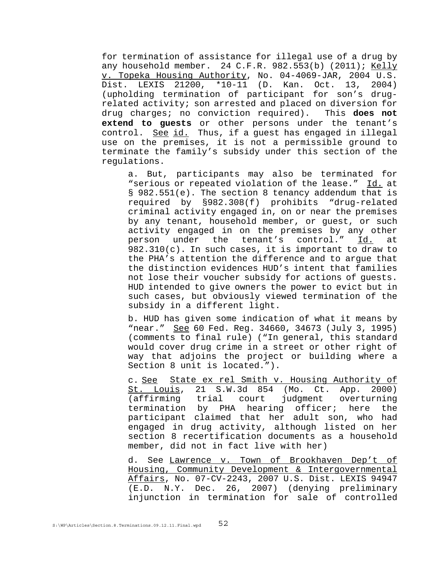for termination of assistance for illegal use of a drug by any household member. 24 C.F.R. 982.553(b) (2011); Kelly v. Topeka Housing Authority, No. 04-4069-JAR, 2004 U.S. Dist. LEXIS 21200, \*10-11 (D. Kan. Oct. 13, 2004) (upholding termination of participant for son's drugrelated activity; son arrested and placed on diversion for drug charges; no conviction required). This **does not extend to guests** or other persons under the tenant's control. See id. Thus, if a quest has engaged in illegal use on the premises, it is not a permissible ground to terminate the family's subsidy under this section of the regulations.

a. But, participants may also be terminated for "serious or repeated violation of the lease." Id. at § 982.551(e). The section 8 tenancy addendum that is required by §982.308(f) prohibits "drug-related criminal activity engaged in, on or near the premises by any tenant, household member, or guest, or such activity engaged in on the premises by any other person under the tenant's control." Id. at 982.310(c). In such cases, it is important to draw to the PHA's attention the difference and to argue that the distinction evidences HUD's intent that families not lose their voucher subsidy for actions of guests. HUD intended to give owners the power to evict but in such cases, but obviously viewed termination of the subsidy in a different light.

b. HUD has given some indication of what it means by "near." See 60 Fed. Reg. 34660, 34673 (July 3, 1995) (comments to final rule) ("In general, this standard would cover drug crime in a street or other right of way that adjoins the project or building where a Section 8 unit is located.").

c. See State ex rel Smith v. Housing Authority of St. Louis, 21 S.W.3d 854 (Mo. Ct. App. 2000) (affirming trial court judgment overturning termination by PHA hearing officer; here the participant claimed that her adult son, who had engaged in drug activity, although listed on her section 8 recertification documents as a household member, did not in fact live with her)

d. See Lawrence v. Town of Brookhaven Dep't of Housing, Community Development & Intergovernmental Affairs, No. 07-CV-2243, 2007 U.S. Dist. LEXIS 94947 (E.D. N.Y. Dec. 26, 2007) (denying preliminary injunction in termination for sale of controlled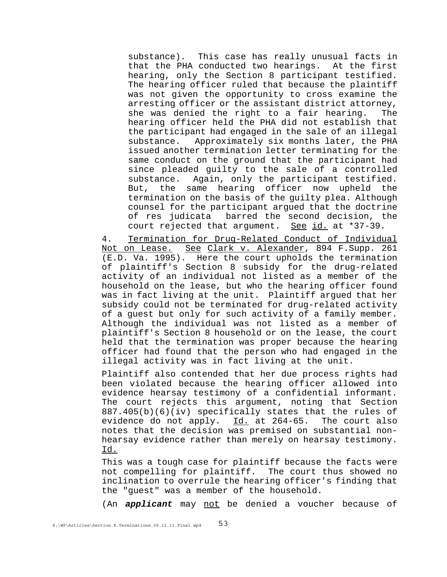substance). This case has really unusual facts in that the PHA conducted two hearings. At the first hearing, only the Section 8 participant testified. The hearing officer ruled that because the plaintiff was not given the opportunity to cross examine the arresting officer or the assistant district attorney, she was denied the right to a fair hearing. The hearing officer held the PHA did not establish that the participant had engaged in the sale of an illegal substance. Approximately six months later, the PHA issued another termination letter terminating for the same conduct on the ground that the participant had since pleaded guilty to the sale of a controlled substance. Again, only the participant testified. But, the same hearing officer now upheld the termination on the basis of the guilty plea. Although counsel for the participant argued that the doctrine of res judicata barred the second decision, the court rejected that argument. See id. at \*37-39.

4. Termination for Drug-Related Conduct of Individual Not on Lease. See Clark v. Alexander, 894 F. Supp. 261 (E.D. Va. 1995). Here the court upholds the termination of plaintiff's Section 8 subsidy for the drug-related activity of an individual not listed as a member of the household on the lease, but who the hearing officer found was in fact living at the unit. Plaintiff argued that her subsidy could not be terminated for drug-related activity of a guest but only for such activity of a family member. Although the individual was not listed as a member of plaintiff's Section 8 household or on the lease, the court held that the termination was proper because the hearing officer had found that the person who had engaged in the illegal activity was in fact living at the unit.

Plaintiff also contended that her due process rights had been violated because the hearing officer allowed into evidence hearsay testimony of a confidential informant. The court rejects this argument, noting that Section 887.405(b)(6)(iv) specifically states that the rules of evidence do not apply. Id. at 264-65. The court also notes that the decision was premised on substantial nonhearsay evidence rather than merely on hearsay testimony. Id.

This was a tough case for plaintiff because the facts were not compelling for plaintiff. The court thus showed no inclination to overrule the hearing officer's finding that the "guest" was a member of the household.

(An *applicant* may not be denied a voucher because of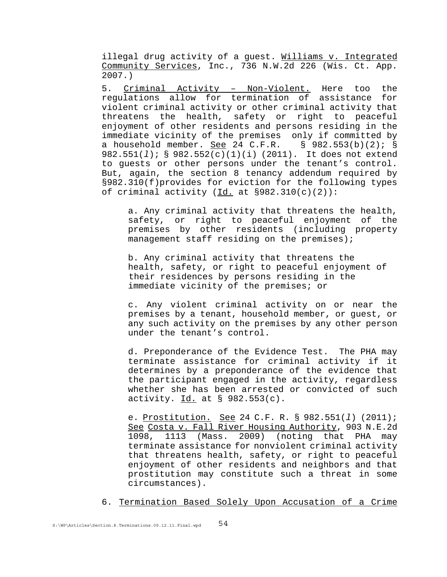illegal drug activity of a guest. Williams v. Integrated Community Services, Inc., 736 N.W.2d 226 (Wis. Ct. App. 2007.)

5. Criminal Activity – Non-Violent. Here too the regulations allow for termination of assistance for violent criminal activity or other criminal activity that threatens the health, safety or right to peaceful enjoyment of other residents and persons residing in the immediate vicinity of the premises only if committed by<br>a household member. <u>See</u> 24 C.F.R. § 982.553(b)(2); § a household member. See 24 C.F.R. 982.551(*l*); § 982.552(c)(1)(i) (2011). It does not extend to guests or other persons under the tenant's control. But, again, the section 8 tenancy addendum required by §982.310(f)provides for eviction for the following types of criminal activity  $(\underline{Id.}$  at  $\S 982.310(c)(2))$ :

a. Any criminal activity that threatens the health, safety, or right to peaceful enjoyment of the premises by other residents (including property management staff residing on the premises);

b. Any criminal activity that threatens the health, safety, or right to peaceful enjoyment of their residences by persons residing in the immediate vicinity of the premises; or

c. Any violent criminal activity on or near the premises by a tenant, household member, or guest, or any such activity on the premises by any other person under the tenant's control.

d. Preponderance of the Evidence Test. The PHA may terminate assistance for criminal activity if it determines by a preponderance of the evidence that the participant engaged in the activity, regardless whether she has been arrested or convicted of such activity.  $Id.$  at § 982.553(c).

e. Prostitution. See 24 C.F. R. § 982.551(*l*) (2011); See Costa v. Fall River Housing Authority, 903 N.E.2d 1098, 1113 (Mass. 2009) (noting that PHA may terminate assistance for nonviolent criminal activity that threatens health, safety, or right to peaceful enjoyment of other residents and neighbors and that prostitution may constitute such a threat in some circumstances).

6. Termination Based Solely Upon Accusation of a Crime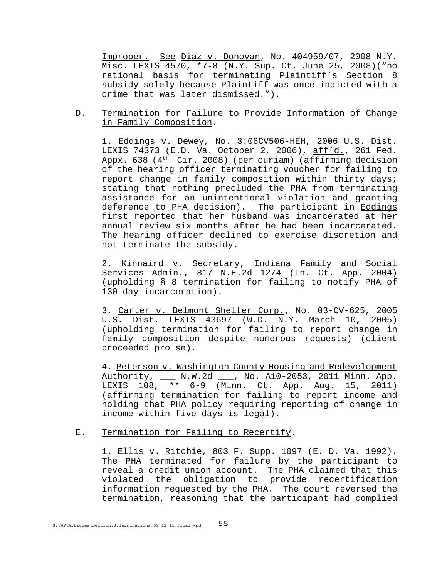Improper. See Diaz v. Donovan, No. 404959/07, 2008 N.Y. Misc. LEXIS 4570, \*7-8 (N.Y. Sup. Ct. June 25, 2008)("no rational basis for terminating Plaintiff's Section 8 subsidy solely because Plaintiff was once indicted with a crime that was later dismissed.").

D. Termination for Failure to Provide Information of Change in Family Composition.

1. Eddings v. Dewey, No. 3:06CV506-HEH, 2006 U.S. Dist. LEXIS 74373 (E.D. Va. October 2, 2006), aff'd., 261 Fed. Appx. 638 ( $4<sup>th</sup>$  Cir. 2008) (per curiam) (affirming decision of the hearing officer terminating voucher for failing to report change in family composition within thirty days; stating that nothing precluded the PHA from terminating assistance for an unintentional violation and granting deference to PHA decision). The participant in Eddings first reported that her husband was incarcerated at her annual review six months after he had been incarcerated. The hearing officer declined to exercise discretion and not terminate the subsidy.

2. Kinnaird v. Secretary, Indiana Family and Social Services Admin., 817 N.E.2d 1274 (In. Ct. App. 2004) (upholding § 8 termination for failing to notify PHA of 130-day incarceration).

3. Carter v. Belmont Shelter Corp., No. 03-CV-625, 2005 U.S. Dist. LEXIS 43697 (W.D. N.Y. March 10, 2005) (upholding termination for failing to report change in family composition despite numerous requests) (client proceeded pro se).

4. Peterson v. Washington County Housing and Redevelopment Authority, \_\_\_ N.W.2d \_\_\_, No. A10-2053, 2011 Minn. App. LEXIS 108, \*\* 6-9 (Minn. Ct. App. Aug. 15, 2011) (affirming termination for failing to report income and holding that PHA policy requiring reporting of change in income within five days is legal).

### E. Termination for Failing to Recertify.

1. Ellis v. Ritchie, 803 F. Supp. 1097 (E. D. Va. 1992). The PHA terminated for failure by the participant to reveal a credit union account. The PHA claimed that this violated the obligation to provide recertification information requested by the PHA. The court reversed the termination, reasoning that the participant had complied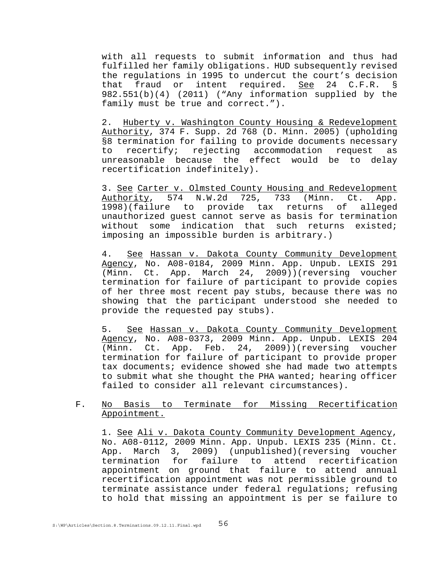with all requests to submit information and thus had fulfilled her family obligations. HUD subsequently revised the regulations in 1995 to undercut the court's decision that fraud or intent required. See 24 C.F.R. § 982.551(b)(4) (2011) ("Any information supplied by the family must be true and correct.").

2. Huberty v. Washington County Housing & Redevelopment Authority, 374 F. Supp. 2d 768 (D. Minn. 2005) (upholding §8 termination for failing to provide documents necessary to recertify; rejecting accommodation request as unreasonable because the effect would be to delay recertification indefinitely).

3. See Carter v. Olmsted County Housing and Redevelopment Authority, 574 N.W.2d 725, 733 (Minn. Ct. App. 1998)(failure to provide tax returns of alleged unauthorized guest cannot serve as basis for termination without some indication that such returns existed; imposing an impossible burden is arbitrary.)

4. See Hassan v. Dakota County Community Development Agency, No. A08-0184, 2009 Minn. App. Unpub. LEXIS 291 (Minn. Ct. App. March 24, 2009))(reversing voucher termination for failure of participant to provide copies of her three most recent pay stubs, because there was no showing that the participant understood she needed to provide the requested pay stubs).

5. See Hassan v. Dakota County Community Development Agency, No. A08-0373, 2009 Minn. App. Unpub. LEXIS 204 (Minn. Ct. App. Feb. 24, 2009))(reversing voucher termination for failure of participant to provide proper tax documents; evidence showed she had made two attempts to submit what she thought the PHA wanted; hearing officer failed to consider all relevant circumstances).

## F. No Basis to Terminate for Missing Recertification Appointment.

1. See Ali v. Dakota County Community Development Agency, No. A08-0112, 2009 Minn. App. Unpub. LEXIS 235 (Minn. Ct. App. March 3, 2009) (unpublished)(reversing voucher termination for failure to attend recertification appointment on ground that failure to attend annual recertification appointment was not permissible ground to terminate assistance under federal regulations; refusing to hold that missing an appointment is per se failure to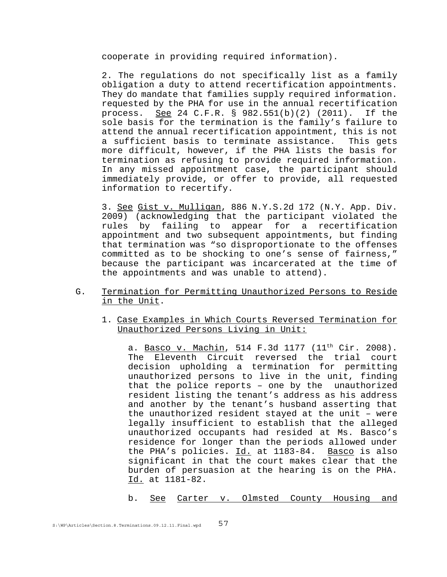cooperate in providing required information).

2. The regulations do not specifically list as a family obligation a duty to attend recertification appointments. They do mandate that families supply required information. requested by the PHA for use in the annual recertification process. See 24 C.F.R. § 982.551(b)(2) (2011). If the sole basis for the termination is the family's failure to attend the annual recertification appointment, this is not a sufficient basis to terminate assistance. This gets more difficult, however, if the PHA lists the basis for termination as refusing to provide required information. In any missed appointment case, the participant should immediately provide, or offer to provide, all requested information to recertify.

3. See Gist v. Mulligan, 886 N.Y.S.2d 172 (N.Y. App. Div. 2009) (acknowledging that the participant violated the rules by failing to appear for a recertification appointment and two subsequent appointments, but finding that termination was "so disproportionate to the offenses committed as to be shocking to one's sense of fairness," because the participant was incarcerated at the time of the appointments and was unable to attend).

- G. Termination for Permitting Unauthorized Persons to Reside in the Unit.
	- 1. Case Examples in Which Courts Reversed Termination for Unauthorized Persons Living in Unit:

a. Basco v. Machin, 514 F.3d 1177  $(11<sup>th</sup> Cir. 2008)$ . The Eleventh Circuit reversed the trial court decision upholding a termination for permitting unauthorized persons to live in the unit, finding that the police reports – one by the unauthorized resident listing the tenant's address as his address and another by the tenant's husband asserting that the unauthorized resident stayed at the unit – were legally insufficient to establish that the alleged unauthorized occupants had resided at Ms. Basco's residence for longer than the periods allowed under the PHA's policies. Id. at 1183-84. Basco is also significant in that the court makes clear that the burden of persuasion at the hearing is on the PHA. Id. at 1181-82.

b. <u>See</u> Carter v. Olmsted County Housing and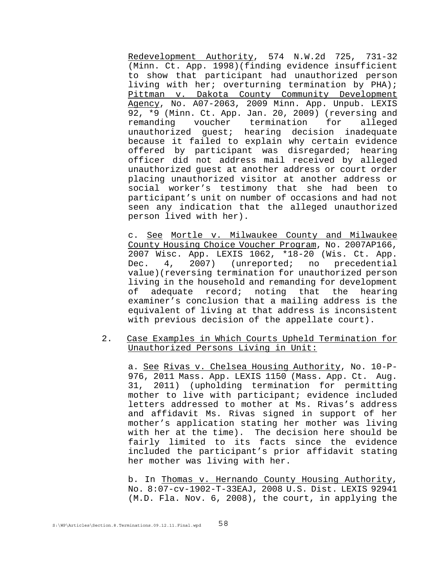Redevelopment Authority, 574 N.W.2d 725, 731-32 (Minn. Ct. App. 1998)(finding evidence insufficient to show that participant had unauthorized person living with her; overturning termination by PHA); Pittman v. Dakota County Community Development Agency, No. A07-2063, 2009 Minn. App. Unpub. LEXIS 92, \*9 (Minn. Ct. App. Jan. 20, 2009) (reversing and remanding voucher termination for alleged unauthorized guest; hearing decision inadequate because it failed to explain why certain evidence offered by participant was disregarded; hearing officer did not address mail received by alleged unauthorized guest at another address or court order placing unauthorized visitor at another address or social worker's testimony that she had been to participant's unit on number of occasions and had not seen any indication that the alleged unauthorized person lived with her).

c. See Mortle v. Milwaukee County and Milwaukee County Housing Choice Voucher Program, No. 2007AP166, 2007 Wisc. App. LEXIS 1062, \*18-20 (Wis. Ct. App. Dec. 4, 2007) (unreported; no precedential value)(reversing termination for unauthorized person living in the household and remanding for development of adequate record; noting that the hearing examiner's conclusion that a mailing address is the equivalent of living at that address is inconsistent with previous decision of the appellate court).

2. Case Examples in Which Courts Upheld Termination for Unauthorized Persons Living in Unit:

a. See Rivas v. Chelsea Housing Authority, No. 10-P-976, 2011 Mass. App. LEXIS 1150 (Mass. App. Ct. Aug. 31, 2011) (upholding termination for permitting mother to live with participant; evidence included letters addressed to mother at Ms. Rivas's address and affidavit Ms. Rivas signed in support of her mother's application stating her mother was living with her at the time). The decision here should be fairly limited to its facts since the evidence included the participant's prior affidavit stating her mother was living with her.

b. In Thomas v. Hernando County Housing Authority, No. 8:07-cv-1902-T-33EAJ, 2008 U.S. Dist. LEXIS 92941 (M.D. Fla. Nov. 6, 2008), the court, in applying the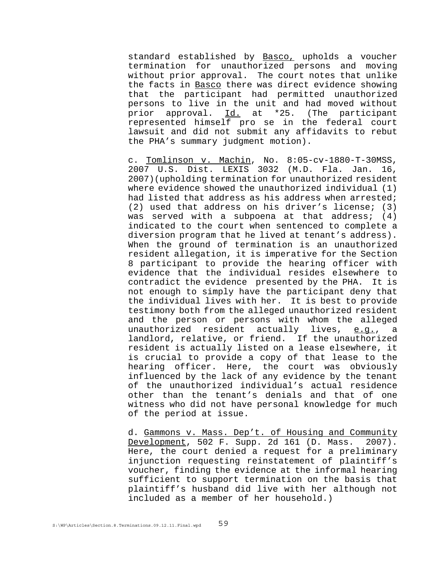standard established by Basco, upholds a voucher termination for unauthorized persons and moving without prior approval. The court notes that unlike the facts in Basco there was direct evidence showing that the participant had permitted unauthorized persons to live in the unit and had moved without prior approval. Id. at \*25. (The participant represented himself pro se in the federal court lawsuit and did not submit any affidavits to rebut the PHA's summary judgment motion).

c. Tomlinson v. Machin, No. 8:05-cv-1880-T-30MSS, 2007 U.S. Dist. LEXIS 3032 (M.D. Fla. Jan. 16, 2007)(upholding termination for unauthorized resident where evidence showed the unauthorized individual (1) had listed that address as his address when arrested; (2) used that address on his driver's license; (3) was served with a subpoena at that address; (4) indicated to the court when sentenced to complete a diversion program that he lived at tenant's address). When the ground of termination is an unauthorized resident allegation, it is imperative for the Section 8 participant to provide the hearing officer with evidence that the individual resides elsewhere to contradict the evidence presented by the PHA. It is not enough to simply have the participant deny that the individual lives with her. It is best to provide testimony both from the alleged unauthorized resident and the person or persons with whom the alleged unauthorized resident actually lives, e.g., a landlord, relative, or friend. If the unauthorized resident is actually listed on a lease elsewhere, it is crucial to provide a copy of that lease to the hearing officer. Here, the court was obviously influenced by the lack of any evidence by the tenant of the unauthorized individual's actual residence other than the tenant's denials and that of one witness who did not have personal knowledge for much of the period at issue.

d. Gammons v. Mass. Dep't. of Housing and Community Development, 502 F. Supp. 2d 161 (D. Mass. 2007). Here, the court denied a request for a preliminary injunction requesting reinstatement of plaintiff's voucher, finding the evidence at the informal hearing sufficient to support termination on the basis that plaintiff's husband did live with her although not included as a member of her household.)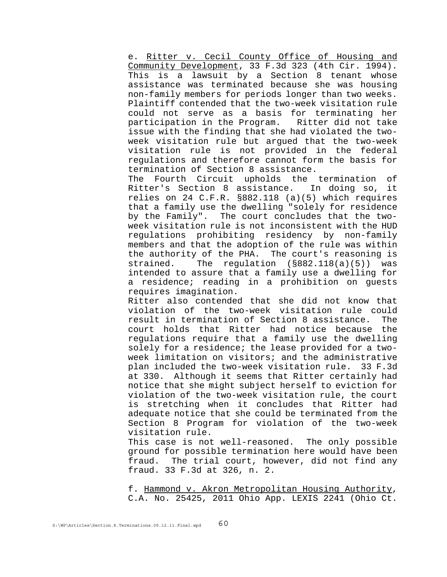e. Ritter v. Cecil County Office of Housing and Community Development, 33 F.3d 323 (4th Cir. 1994). This is a lawsuit by a Section 8 tenant whose assistance was terminated because she was housing non-family members for periods longer than two weeks. Plaintiff contended that the two-week visitation rule could not serve as a basis for terminating her participation in the Program. Ritter did not take issue with the finding that she had violated the twoweek visitation rule but argued that the two-week visitation rule is not provided in the federal regulations and therefore cannot form the basis for termination of Section 8 assistance.

The Fourth Circuit upholds the termination of Ritter's Section 8 assistance. In doing so, it relies on 24 C.F.R. §882.118 (a)(5) which requires that a family use the dwelling "solely for residence by the Family". The court concludes that the twoweek visitation rule is not inconsistent with the HUD regulations prohibiting residency by non-family members and that the adoption of the rule was within the authority of the PHA. The court's reasoning is strained. The regulation (§882.118(a)(5)) was intended to assure that a family use a dwelling for a residence; reading in a prohibition on guests requires imagination.

Ritter also contended that she did not know that violation of the two-week visitation rule could result in termination of Section 8 assistance. The court holds that Ritter had notice because the regulations require that a family use the dwelling solely for a residence; the lease provided for a twoweek limitation on visitors; and the administrative plan included the two-week visitation rule. 33 F.3d at 330. Although it seems that Ritter certainly had notice that she might subject herself to eviction for violation of the two-week visitation rule, the court is stretching when it concludes that Ritter had adequate notice that she could be terminated from the Section 8 Program for violation of the two-week visitation rule.

This case is not well-reasoned. The only possible ground for possible termination here would have been fraud. The trial court, however, did not find any fraud. 33 F.3d at 326, n. 2.

f. Hammond v. Akron Metropolitan Housing Authority, C.A. No. 25425, 2011 Ohio App. LEXIS 2241 (Ohio Ct.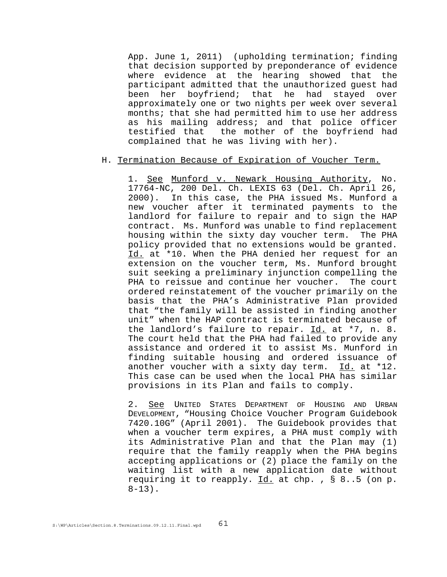App. June 1, 2011) (upholding termination; finding that decision supported by preponderance of evidence where evidence at the hearing showed that the participant admitted that the unauthorized guest had been her boyfriend; that he had stayed over approximately one or two nights per week over several months; that she had permitted him to use her address as his mailing address; and that police officer testified that the mother of the boyfriend had complained that he was living with her).

### H. Termination Because of Expiration of Voucher Term.

1. See Munford v. Newark Housing Authority, No. 17764-NC, 200 Del. Ch. LEXIS 63 (Del. Ch. April 26, 2000). In this case, the PHA issued Ms. Munford a new voucher after it terminated payments to the landlord for failure to repair and to sign the HAP contract. Ms. Munford was unable to find replacement housing within the sixty day voucher term. The PHA policy provided that no extensions would be granted. Id. at \*10. When the PHA denied her request for an extension on the voucher term, Ms. Munford brought suit seeking a preliminary injunction compelling the PHA to reissue and continue her voucher. The court ordered reinstatement of the voucher primarily on the basis that the PHA's Administrative Plan provided that "the family will be assisted in finding another unit" when the HAP contract is terminated because of the landlord's failure to repair. Id. at \*7, n. 8. The court held that the PHA had failed to provide any assistance and ordered it to assist Ms. Munford in finding suitable housing and ordered issuance of another voucher with a sixty day term.  $Id.$  at \*12. This case can be used when the local PHA has similar provisions in its Plan and fails to comply.

2. See UNITED STATES DEPARTMENT OF HOUSING AND URBAN DEVELOPMENT, "Housing Choice Voucher Program Guidebook 7420.10G" (April 2001). The Guidebook provides that when a voucher term expires, a PHA must comply with its Administrative Plan and that the Plan may (1) require that the family reapply when the PHA begins accepting applications or (2) place the family on the waiting list with a new application date without requiring it to reapply.  $Id.$  at chp. ,  $§ 8..5$  (on p.  $8-13$ ).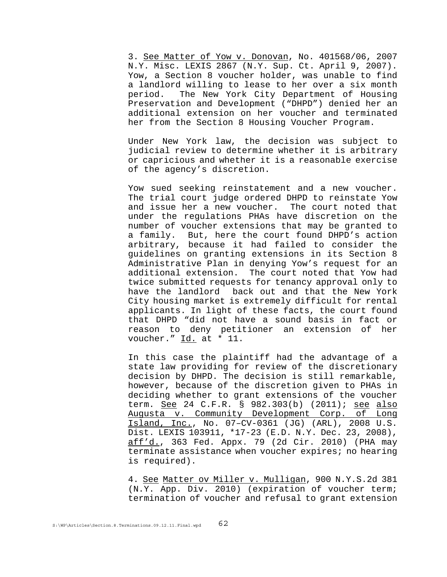3. See Matter of Yow v. Donovan, No. 401568/06, 2007 N.Y. Misc. LEXIS 2867 (N.Y. Sup. Ct. April 9, 2007). Yow, a Section 8 voucher holder, was unable to find a landlord willing to lease to her over a six month period. The New York City Department of Housing Preservation and Development ("DHPD") denied her an additional extension on her voucher and terminated her from the Section 8 Housing Voucher Program.

Under New York law, the decision was subject to judicial review to determine whether it is arbitrary or capricious and whether it is a reasonable exercise of the agency's discretion.

Yow sued seeking reinstatement and a new voucher. The trial court judge ordered DHPD to reinstate Yow and issue her a new voucher. The court noted that under the regulations PHAs have discretion on the number of voucher extensions that may be granted to a family. But, here the court found DHPD's action arbitrary, because it had failed to consider the guidelines on granting extensions in its Section 8 Administrative Plan in denying Yow's request for an additional extension. The court noted that Yow had twice submitted requests for tenancy approval only to have the landlord back out and that the New York City housing market is extremely difficult for rental applicants. In light of these facts, the court found that DHPD "did not have a sound basis in fact or reason to deny petitioner an extension of her voucher." Id. at \* 11.

In this case the plaintiff had the advantage of a state law providing for review of the discretionary decision by DHPD. The decision is still remarkable, however, because of the discretion given to PHAs in deciding whether to grant extensions of the voucher term. See 24 C.F.R. § 982.303(b) (2011); see also Augusta v. Community Development Corp. of Long Island, Inc., No. 07–CV-0361 (JG) (ARL), 2008 U.S. Dist. LEXIS 103911, \*17-23 (E.D. N.Y. Dec. 23, 2008), aff'd., 363 Fed. Appx. 79 (2d Cir. 2010) (PHA may terminate assistance when voucher expires; no hearing is required).

4. See Matter ov Miller v. Mulligan, 900 N.Y.S.2d 381 (N.Y. App. Div. 2010) (expiration of voucher term; termination of voucher and refusal to grant extension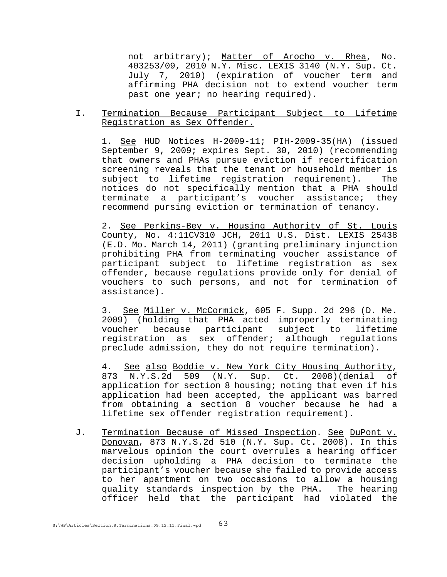not arbitrary); Matter of Arocho v. Rhea, No. 403253/09, 2010 N.Y. Misc. LEXIS 3140 (N.Y. Sup. Ct. July 7, 2010) (expiration of voucher term and affirming PHA decision not to extend voucher term past one year; no hearing required).

### I. Termination Because Participant Subject to Lifetime Registration as Sex Offender.

1. See HUD Notices H-2009-11; PIH-2009-35(HA) (issued September 9, 2009; expires Sept. 30, 2010) (recommending that owners and PHAs pursue eviction if recertification screening reveals that the tenant or household member is subject to lifetime registration requirement). The notices do not specifically mention that a PHA should terminate a participant's voucher assistance; they recommend pursing eviction or termination of tenancy.

2. See Perkins-Bey v. Housing Authority of St. Louis County, No. 4:11CV310 JCH, 2011 U.S. Dist. LEXIS 25438 (E.D. Mo. March 14, 2011) (granting preliminary injunction prohibiting PHA from terminating voucher assistance of participant subject to lifetime registration as sex offender, because regulations provide only for denial of vouchers to such persons, and not for termination of assistance).

3. See Miller v. McCormick, 605 F. Supp. 2d 296 (D. Me. 2009) (holding that PHA acted improperly terminating voucher because participant subject to lifetime registration as sex offender; although regulations preclude admission, they do not require termination).

4. See also Boddie v. New York City Housing Authority, 873 N.Y.S.2d 509 (N.Y. Sup. Ct. 2008)(denial of application for section 8 housing; noting that even if his application had been accepted, the applicant was barred from obtaining a section 8 voucher because he had a lifetime sex offender registration requirement).

J. Termination Because of Missed Inspection. See DuPont v. Donovan, 873 N.Y.S.2d 510 (N.Y. Sup. Ct. 2008). In this marvelous opinion the court overrules a hearing officer decision upholding a PHA decision to terminate the participant's voucher because she failed to provide access to her apartment on two occasions to allow a housing quality standards inspection by the PHA. The hearing officer held that the participant had violated the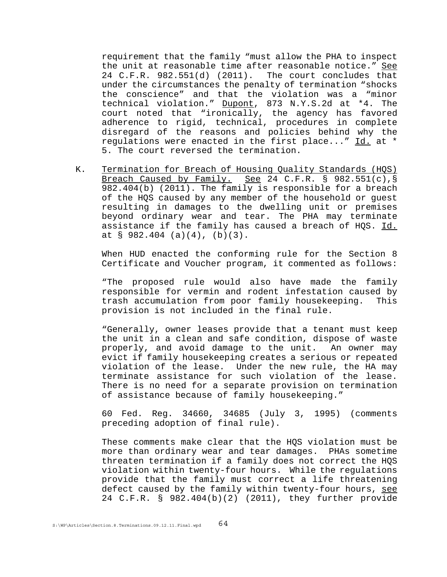requirement that the family "must allow the PHA to inspect the unit at reasonable time after reasonable notice." See 24 C.F.R. 982.551(d) (2011). The court concludes that under the circumstances the penalty of termination "shocks the conscience" and that the violation was a "minor technical violation." Dupont, 873 N.Y.S.2d at \*4. The court noted that "ironically, the agency has favored adherence to rigid, technical, procedures in complete disregard of the reasons and policies behind why the regulations were enacted in the first place..." Id. at \* 5. The court reversed the termination.

K. Termination for Breach of Housing Quality Standards (HQS) Breach Caused by Family. See 24 C.F.R. § 982.551(c), § 982.404(b) (2011). The family is responsible for a breach of the HQS caused by any member of the household or guest resulting in damages to the dwelling unit or premises beyond ordinary wear and tear. The PHA may terminate assistance if the family has caused a breach of HQS. Id. at § 982.404 (a)(4), (b)(3).

When HUD enacted the conforming rule for the Section 8 Certificate and Voucher program, it commented as follows:

"The proposed rule would also have made the family responsible for vermin and rodent infestation caused by trash accumulation from poor family housekeeping. This provision is not included in the final rule.

"Generally, owner leases provide that a tenant must keep the unit in a clean and safe condition, dispose of waste properly, and avoid damage to the unit. An owner may evict if family housekeeping creates a serious or repeated violation of the lease. Under the new rule, the HA may terminate assistance for such violation of the lease. There is no need for a separate provision on termination of assistance because of family housekeeping."

60 Fed. Reg. 34660, 34685 (July 3, 1995) (comments preceding adoption of final rule).

These comments make clear that the HQS violation must be more than ordinary wear and tear damages. PHAs sometime threaten termination if a family does not correct the HQS violation within twenty-four hours. While the regulations provide that the family must correct a life threatening defect caused by the family within twenty-four hours, see 24 C.F.R. § 982.404(b)(2) (2011), they further provide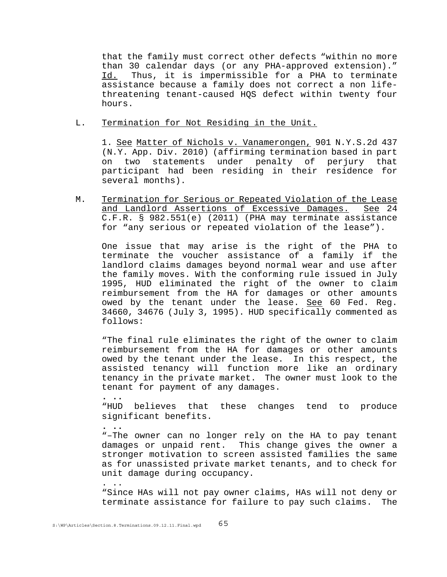that the family must correct other defects "within no more than 30 calendar days (or any PHA-approved extension)." Id. Thus, it is impermissible for a PHA to terminate assistance because a family does not correct a non lifethreatening tenant-caused HQS defect within twenty four hours.

L. Termination for Not Residing in the Unit.

1. See Matter of Nichols v. Vanamerongen, 901 N.Y.S.2d 437 (N.Y. App. Div. 2010) (affirming termination based in part on two statements under penalty of perjury that participant had been residing in their residence for several months).

M. Termination for Serious or Repeated Violation of the Lease and Landlord Assertions of Excessive Damages. See 24 C.F.R. § 982.551(e) (2011) (PHA may terminate assistance for "any serious or repeated violation of the lease").

One issue that may arise is the right of the PHA to terminate the voucher assistance of a family if the landlord claims damages beyond normal wear and use after the family moves. With the conforming rule issued in July 1995, HUD eliminated the right of the owner to claim reimbursement from the HA for damages or other amounts owed by the tenant under the lease. See 60 Fed. Reg. 34660, 34676 (July 3, 1995). HUD specifically commented as follows:

"The final rule eliminates the right of the owner to claim reimbursement from the HA for damages or other amounts owed by the tenant under the lease. In this respect, the assisted tenancy will function more like an ordinary tenancy in the private market. The owner must look to the tenant for payment of any damages.

**. ..** "HUD believes that these changes tend to produce significant benefits.

**. ..** "–The owner can no longer rely on the HA to pay tenant damages or unpaid rent. This change gives the owner a stronger motivation to screen assisted families the same as for unassisted private market tenants, and to check for unit damage during occupancy.

. .. "Since HAs will not pay owner claims, HAs will not deny or terminate assistance for failure to pay such claims. The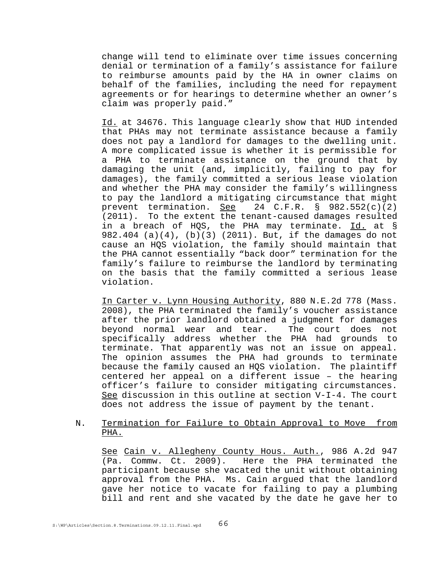change will tend to eliminate over time issues concerning denial or termination of a family's assistance for failure to reimburse amounts paid by the HA in owner claims on behalf of the families, including the need for repayment agreements or for hearings to determine whether an owner's claim was properly paid."

Id. at 34676. This language clearly show that HUD intended that PHAs may not terminate assistance because a family does not pay a landlord for damages to the dwelling unit. A more complicated issue is whether it is permissible for a PHA to terminate assistance on the ground that by damaging the unit (and, implicitly, failing to pay for damages), the family committed a serious lease violation and whether the PHA may consider the family's willingness to pay the landlord a mitigating circumstance that might prevent termination. See 24 C.F.R. § 982.552(c)(2) (2011). To the extent the tenant-caused damages resulted in a breach of HQS, the PHA may terminate. Id. at § 982.404 (a)(4), (b)(3) (2011). But, if the damages do not cause an HQS violation, the family should maintain that the PHA cannot essentially "back door" termination for the family's failure to reimburse the landlord by terminating on the basis that the family committed a serious lease violation.

In Carter v. Lynn Housing Authority, 880 N.E.2d 778 (Mass. 2008), the PHA terminated the family's voucher assistance after the prior landlord obtained a judgment for damages beyond normal wear and tear. The court does not specifically address whether the PHA had grounds to terminate. That apparently was not an issue on appeal. The opinion assumes the PHA had grounds to terminate because the family caused an HQS violation. The plaintiff centered her appeal on a different issue – the hearing officer's failure to consider mitigating circumstances. See discussion in this outline at section V-I-4. The court does not address the issue of payment by the tenant.

### N. Termination for Failure to Obtain Approval to Move from PHA.

See Cain v. Allegheny County Hous. Auth., 986 A.2d 947<br>(Pa. Commw. Ct. 2009). Here the PHA terminated the Here the PHA terminated the participant because she vacated the unit without obtaining approval from the PHA. Ms. Cain argued that the landlord gave her notice to vacate for failing to pay a plumbing bill and rent and she vacated by the date he gave her to